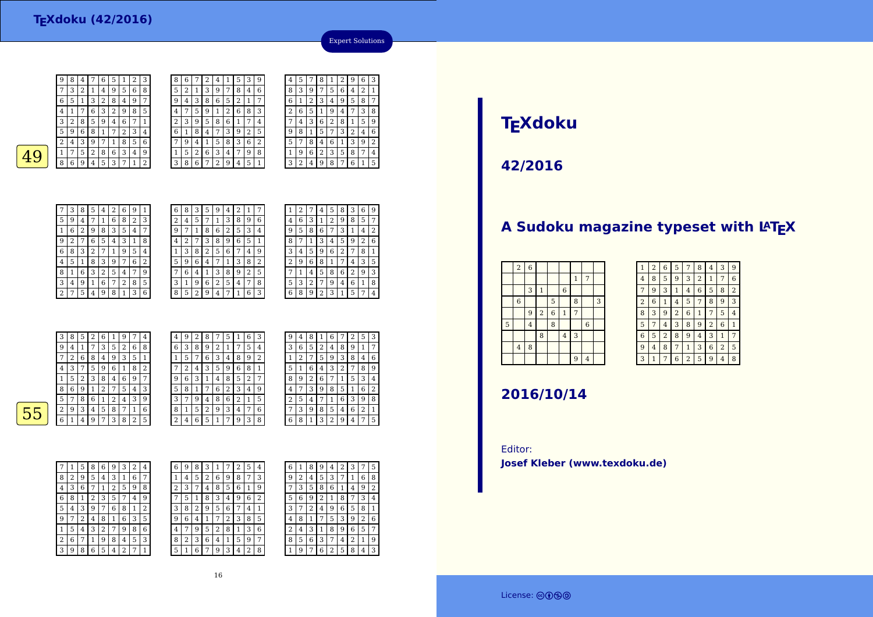6 $\frac{6}{1}$  5 1 <sup>3</sup> <sup>2</sup> <sup>8</sup> <sup>4</sup> <sup>9</sup> <sup>7</sup> 4 <sup>1</sup> <sup>7</sup> <sup>6</sup> <sup>3</sup> <sup>2</sup> <sup>9</sup> <sup>8</sup> <sup>5</sup> 3 $\begin{array}{c|c} 3 & 2 \\ \hline 5 & 9 \end{array}$  $2 | 8 | 5 | 9 | 4$  <sup>9</sup> <sup>6</sup> <sup>8</sup> <sup>1</sup> <sup>7</sup> <sup>2</sup> <sup>3</sup> <sup>4</sup>  $2\sqrt{4}$  $3 | 9 | 7 | 1 | 8 | 5$  $\boxed{1}$  7  $49$   $17528634$ <br>8 6 9 4 5 3 7 1 9 4 5 3 7 1 7 $\begin{array}{|c|c|c|c|c|}\n\hline\n4 & 2 & 6 & 9 & 1 \\
\hline\n1 & 6 & 8 & 2 & 3\n\end{array}$ 5<sup>7</sup> <sup>1</sup> <sup>6</sup> <sup>8</sup> <sup>2</sup> <sup>3</sup>

| 9 | 8 | 4 |        | 6 | 5 |        | ∍<br>∠ | 3 | 8              | 6 |   |   | 4 |                | 5 | 3 | 9              |
|---|---|---|--------|---|---|--------|--------|---|----------------|---|---|---|---|----------------|---|---|----------------|
| 7 | 3 | 2 | 1      | 4 | 9 | 5      | 6      | 8 | 5              | 2 |   | 3 | 9 | 7              | 8 | 4 | 6              |
| 6 | 5 | 1 | 3      | 2 | 8 | 4      | 9      | 7 | 9              | 4 | 3 | 8 | 6 | 5              | 2 | 1 | 7              |
| 4 | 1 | 7 | 6      | 3 | 2 | 9      | 8      | 5 | 4              | 7 | 5 | 9 |   | っ<br>∠         | 6 | 8 | 3              |
| 3 | 2 | 8 | 5      | 9 | 4 | 6      | 7      | 1 | $\overline{2}$ | 3 | 9 | 5 | 8 | 6              | 1 | 7 | 4              |
| 5 | 9 | 6 | 8      |   | 7 | ∍<br>∠ | 3      | 4 | 6              | 1 | 8 | 4 | 7 | 3              | 9 | 2 | 5              |
| 2 | 4 | 3 | 9      |   |   | 8      | 5      | 6 | 7              | 9 | 4 |   | 5 | 8              | 3 | 6 | $\overline{2}$ |
| 1 | 7 | 5 | າ<br>∠ | 8 | 6 | 3      | 4      | 9 | 1              | 5 | 2 | 6 | 3 | $\overline{4}$ | 7 | 9 | 8              |
| 8 | 6 | 9 | 4      | 5 | 3 |        |        | ∍ | 3              | 8 | 6 | 7 | ∍ | 9              | 4 | 5 | 1              |
|   |   |   |        |   |   |        |        |   |                |   |   |   |   |                |   |   |                |



4

Expert Solutions



| 6 | 8                       | 3 | 5                       | 9 | 4 | 2 | 1              |   |
|---|-------------------------|---|-------------------------|---|---|---|----------------|---|
| 2 | $\overline{\mathbf{4}}$ | 5 | 7                       | 1 | 3 | 8 | 9              | 6 |
| 9 | 7                       | 1 | 8                       | 6 | 2 | 5 | 3              | 4 |
| 4 | 2                       |   | 3                       | 8 | 9 | 6 | 5              | 1 |
| 1 | 3                       | 8 | 2                       | 5 | 6 | 7 | 4              | 9 |
| 5 | 9                       | 6 | $\overline{\mathbf{4}}$ |   | 1 | 3 | 8              | 2 |
|   | 6                       | 4 | 1                       | 3 | 8 | 9 | $\overline{2}$ | 5 |
| 3 | 1                       | 9 | 6                       | 2 | 5 | 4 | 7              | 8 |
| 8 | 5                       | 2 | 9                       | 4 | 7 | 1 | 6              | 3 |

| 1 | 2 |   | 4 | 5 | 8 | 3              | 6 | 9              |
|---|---|---|---|---|---|----------------|---|----------------|
| 4 | 6 | 3 | 1 | 2 | 9 | 8              | 5 | 7              |
| 9 | 5 | 8 | 6 | 7 | 3 | 1              | 4 | $\overline{2}$ |
| 8 |   | 1 | 3 | 4 | 5 | 9              | 2 | 6              |
| 3 | 4 | 5 | 9 | 6 | 2 | 7              | 8 | 1              |
| 2 | 9 | 6 | 8 | 1 | 7 | 4              | 3 | 5              |
|   | 1 | 4 | 5 | 8 | 6 | $\overline{c}$ | 9 | 3              |
| 5 | 3 | 2 | 7 | 9 | 4 | 6              | 1 | 8              |
| 6 | 8 | 9 | 2 | 3 | 1 | 5              | 7 | 4              |
|   |   |   |   |   |   |                |   |                |

|   | 3 | 8 | 5 | 2 | 6      | 1 | 9 | 7 | 4 | 4 | 9 | າ<br>∠ | 8 | 7 | 5      |        | 6 | 3 |
|---|---|---|---|---|--------|---|---|---|---|---|---|--------|---|---|--------|--------|---|---|
|   | 9 | 4 |   | 7 | 3      | 5 | 2 | 6 | 8 | 6 | 3 | 8      | 9 | 2 |        | 7      | 5 | 4 |
|   | ⇁ | 2 | 6 | 8 | 4      | 9 | 3 | 5 |   |   | 5 | 7      | 6 | 3 | 4      | 8      | 9 | 2 |
|   | 4 | 3 | 7 | 5 | 9      | 6 |   | 8 | 2 | 7 | 2 | 4      | 3 | 5 | 9      | 6      | 8 |   |
|   |   | 5 | 2 | 3 | 8      | 4 | 6 | 9 | 7 | 9 | 6 | 3      |   | 4 | 8      | 5      | 2 | 7 |
|   | 8 | 6 | 9 | ┸ | ר<br>∠ | 7 | 5 | 4 | 3 | 5 | 8 |        |   | 6 | ∍<br>∠ | 3      | 4 | 9 |
|   | 5 | ⇁ | 8 | 6 |        | 2 | 4 | 3 | 9 | 3 | 7 | 9      | 4 | 8 | 6      | ∍<br>∠ |   | 5 |
| 5 | ∍ | 9 | 3 | 4 | 5      | 8 | 7 | 1 | 6 | 8 | 1 | 5      | 2 | 9 | 3      | 4      | 7 | 6 |
|   | 6 |   |   | 9 | 7      | 3 | 8 | 2 | 5 | 2 | 4 | 6      | 5 |   | ⇁      | 9      | 3 | 8 |
|   |   |   |   |   |        |   |   |   |   |   |   |        |   |   |        |        |   |   |

 $\overline{9}$  $\frac{6}{7}$   $\frac{4}{9}$ 

| 9 | 4              | 8 | 1 | 6              |   | 2 | 5              | 3 |
|---|----------------|---|---|----------------|---|---|----------------|---|
| 3 | 6              | 5 | 2 | 4              | 8 | 9 | 1              | 7 |
| 1 | $\overline{c}$ | 7 | 5 | 9              | 3 | 8 | 4              | 6 |
| 5 | 1              | 6 | 4 | 3              | 2 | 7 | 8              | 9 |
| 8 | 9              | 2 | 6 | 7              | 1 | 5 | 3              | 4 |
| 4 | 7              | 3 | 9 | 8              | 5 | 1 | 6              | 2 |
| 2 | 5              | 4 |   | 1              | 6 | 3 | 9              | 8 |
| 7 | 3              | 9 | 8 | 5              | 4 | 6 | $\overline{2}$ | 1 |
| 6 | 8              | 1 | 3 | $\overline{2}$ | 9 | 4 | 7              | 5 |

 $\overline{55}$ 

| 7 | 1 | 5 | 8 | 6 | 9 | 3              | 2 | 4       |  |
|---|---|---|---|---|---|----------------|---|---------|--|
| 8 | 2 | 9 | 5 | 4 | 3 | 1              | 6 | 7       |  |
| 4 | 3 | 6 | 7 | 1 | 2 | 5              | 9 | 8       |  |
| 6 | 8 | 1 | 2 | 3 | 5 | 7              | 4 | 9       |  |
| 5 | 4 | 3 | 9 | 7 | 6 | 8              | 1 | 2       |  |
| 9 | 7 | 2 | 4 | 8 | 1 | 6              | 3 | 5       |  |
| 1 | 5 | 4 | 3 | 2 | 7 | 9              | 8 | 6       |  |
| 2 | 6 | 7 | 1 | 9 | 8 | 4              | 5 | 3       |  |
| 3 | 9 | 8 | 6 | 5 | 4 | $\overline{2}$ | 7 | $\,1\,$ |  |

| 6 | 9 | 8 | З |   |   |   | 5 | 4 | 6      |   | 8              | 9 | 4 | 2 | 3 |   | 5 |
|---|---|---|---|---|---|---|---|---|--------|---|----------------|---|---|---|---|---|---|
| 1 | 4 | 5 | 2 | 6 | 9 | 8 | 7 | 3 | 9      | 2 | $\overline{4}$ | 5 | 3 | 7 | 1 | 6 | 8 |
| 2 | 3 | 7 | 4 | 8 | 5 | 6 |   | 9 | ⇁      | 3 | 5              | 8 | 6 | 1 | 4 | 9 | 2 |
| 7 | 5 |   | 8 | 3 | 4 | 9 | 6 | 2 | 5      | 6 | 9              |   | 1 | 8 |   | 3 | 4 |
| 3 | 8 | 2 | 9 | 5 | 6 |   | 4 |   | 3      |   | 2              | 4 | 9 | 6 | 5 | 8 | 1 |
| 9 | 6 | 4 |   | 7 | 2 | 3 | 8 | 5 | 4      | 8 |                | 7 | 5 | 3 | 9 | 2 | 6 |
| 4 | 7 | 9 | 5 | 2 | 8 |   | 3 | 6 | ∍<br>4 | 4 | 3              |   | 8 | 9 | 6 | 5 | 7 |
| 8 | 2 | 3 | 6 | 4 | 1 | 5 | 9 | 7 | 8      | 5 | 6              | 3 | 7 | 4 | 2 | 1 | 9 |
| 5 |   | 6 |   | 9 | 3 | 4 | 2 | 8 |        | 9 | ⇁              | 6 | 2 | 5 | 8 | 4 | 3 |

# **TEXdoku**

**42/2016**

### A Sudoku magazine typeset with LATEX

| $\overline{2}$   | $\overline{6}$ |                         |                |                |                |                |   |
|------------------|----------------|-------------------------|----------------|----------------|----------------|----------------|---|
|                  |                |                         |                |                | $\mathbf{1}$   | 7              |   |
|                  | 3              | $\mathbf{1}$            |                | $\,$ 6 $\,$    |                |                |   |
| $\boldsymbol{6}$ |                |                         | 5              |                | 8              |                | 3 |
|                  | 9              | $\overline{\mathbf{c}}$ | $\overline{6}$ | $\,1\,$        | $\overline{7}$ |                |   |
|                  | $\overline{4}$ |                         | 8              |                |                | $\overline{6}$ |   |
|                  |                | 8                       |                | $\overline{4}$ | 3              |                |   |
| $\bf{4}$         | 8              |                         |                |                |                |                |   |
|                  |                |                         |                |                | 9              | $\overline{4}$ |   |
|                  |                |                         |                |                |                |                |   |

| 1              | $\overline{2}$ | 6              | 5              | 7              | 8              | 4              | 3              | 9              |
|----------------|----------------|----------------|----------------|----------------|----------------|----------------|----------------|----------------|
| 4              | 8              | 5              | 9              | 3              | $\overline{2}$ | 1              | 7              | 6              |
| 7              | 9              | 3              | 1              | 4              | 6              | 5              | 8              | $\overline{2}$ |
| $\overline{2}$ | 6              | $\mathbf{1}$   | $\overline{4}$ | 5              | 7              | 8              | 9              | 3              |
| 8              | 3              | 9              | $\overline{2}$ | 6              | 1              | 7              | 5              | 4              |
| 5              | 7              | $\overline{4}$ | 3              | 8              | 9              | $\overline{c}$ | 6              | 1              |
| 6              | 5              | $\overline{2}$ | 8              | 9              | 4              | 3              | 1              | 7              |
| 9              | $\overline{4}$ | 8              | 7              | $\mathbf{1}$   | 3              | 6              | $\overline{2}$ | 5              |
| 3              | 1              | 7              | 6              | $\overline{c}$ | 5              | 9              | 4              | 8              |

## **2016/10/14**

Editor:**Josef Kleber (www.texdoku.de)**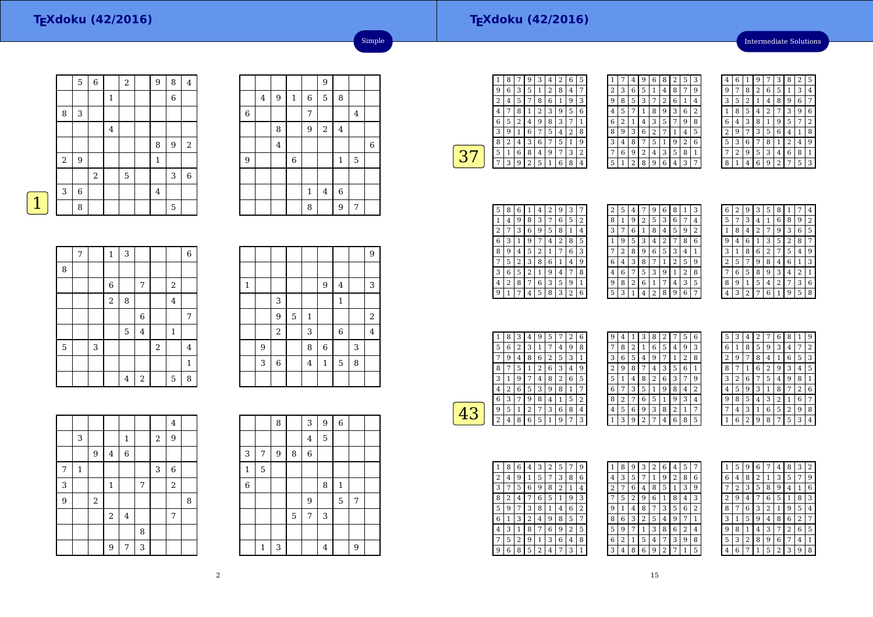#### **TEXdoku (42/2016)**

Intermediate Solutions

|   |       | 5                | $\,$ 6 $\,$ |              | $\overline{2}$ | $\overline{9}$ | 8 | $\overline{4}$   |
|---|-------|------------------|-------------|--------------|----------------|----------------|---|------------------|
|   |       |                  |             | $\mathbf{1}$ |                |                | 6 |                  |
|   | 8     | 3                |             |              |                |                |   |                  |
|   |       |                  |             | $\bf 4$      |                |                |   |                  |
|   |       |                  |             |              |                | 8              | 9 | $\sqrt{2}$       |
|   | $\,2$ | $\boldsymbol{9}$ |             |              |                | $\mathbf{1}$   |   |                  |
|   |       |                  | $\,2$       |              | 5              |                | 3 | $\boldsymbol{6}$ |
|   | 3     | 6                |             |              |                | 4              |   |                  |
| 1 |       | 8                |             |              |                |                | 5 |                  |

|   |         |                  |                  |              | 9              |             |         |             |
|---|---------|------------------|------------------|--------------|----------------|-------------|---------|-------------|
|   | $\bf 4$ | $\boldsymbol{9}$ | $\mathbf{1}$     | 6            | 5              | 8           |         |             |
| 6 |         |                  |                  | 7            |                |             | $\bf 4$ |             |
|   |         | 8                |                  | 9            | $\sqrt{2}$     | $\bf 4$     |         |             |
|   |         | $\bf 4$          |                  |              |                |             |         | $\,$ 6 $\,$ |
| 9 |         |                  | $\boldsymbol{6}$ |              |                | $\,1\,$     | 5       |             |
|   |         |                  |                  |              |                |             |         |             |
|   |         |                  |                  | $\mathbf{1}$ | $\overline{4}$ | $\,$ 6 $\,$ |         |             |
|   |         |                  |                  | 8            |                | 9           | 7       |             |

Simple

|  | $\mathcal{L}(\mathcal{L})$ and $\mathcal{L}(\mathcal{L})$ and $\mathcal{L}(\mathcal{L})$ and $\mathcal{L}(\mathcal{L})$ |  |
|--|-------------------------------------------------------------------------------------------------------------------------|--|

|   | 7 |   | $\mathbf{1}$   | 3 |                |                  |                         | $\overline{6}$ |
|---|---|---|----------------|---|----------------|------------------|-------------------------|----------------|
| 8 |   |   |                |   |                |                  |                         |                |
|   |   |   | $\,$ 6 $\,$    |   | 7              |                  | $\overline{\mathbf{c}}$ |                |
|   |   |   | $\overline{a}$ | 8 |                |                  | 4                       |                |
|   |   |   |                |   | $\,$ 6 $\,$    |                  |                         | 7              |
|   |   |   |                | 5 | $\overline{4}$ |                  | 1                       |                |
| 5 |   | 3 |                |   |                | $\boldsymbol{2}$ |                         | $\overline{4}$ |
|   |   |   |                |   |                |                  |                         | $\mathbf{1}$   |
|   |   |   |                | 4 | $\overline{a}$ |                  | 5                       | 8              |

|   |   |                |   |                |         |              |   | 9              |
|---|---|----------------|---|----------------|---------|--------------|---|----------------|
|   |   |                |   |                |         |              |   |                |
| 1 |   |                |   |                | 9       | 4            |   | 3              |
|   |   | 3              |   |                |         | $\mathbf{1}$ |   |                |
|   |   | 9              | 5 | 1              |         |              |   | $\sqrt{2}$     |
|   |   | $\overline{c}$ |   | 3              |         | 6            |   | $\overline{4}$ |
|   | 9 |                |   | 8              | 6       |              | 3 |                |
|   | 3 | $\overline{6}$ |   | $\overline{4}$ | $\,1\,$ | 5            | 8 |                |
|   |   |                |   |                |         |              |   |                |

|                |              |       |                |                         |   |       | $\overline{4}$   |   |
|----------------|--------------|-------|----------------|-------------------------|---|-------|------------------|---|
|                | 3            |       |                | $\mathbf{1}$            |   | $\,2$ | 9                |   |
|                |              | 9     | $\overline{4}$ | 6                       |   |       |                  |   |
| 7              | $\mathbf{1}$ |       |                |                         |   | 3     | $\boldsymbol{6}$ |   |
| 3              |              |       | $\mathbf 1$    |                         | 7 |       | $\sqrt{2}$       |   |
| $\overline{9}$ |              | $\,2$ |                |                         |   |       |                  | 8 |
|                |              |       | $\sqrt{2}$     | $\overline{\mathbf{4}}$ |   |       | 7                |   |
|                |              |       |                |                         | 8 |       |                  |   |
|                |              |       | 9              | 7                       | 3 |       |                  |   |

|                |              | 8 |   | 3              | 9 | $\,$ 6 $\,$  |   |  |
|----------------|--------------|---|---|----------------|---|--------------|---|--|
|                |              |   |   | $\overline{4}$ | 5 |              |   |  |
| 3              | 7            | 9 | 8 | 6              |   |              |   |  |
| $1\,$          | 5            |   |   |                |   |              |   |  |
| $\overline{6}$ |              |   |   |                | 8 | $\mathbf{1}$ |   |  |
|                |              |   |   | 9              |   | 5            | 7 |  |
|                |              |   | 5 | 7              | 3 |              |   |  |
|                |              |   |   |                |   |              |   |  |
|                | $\mathbf{1}$ | 3 |   |                | 4 |              | 9 |  |

| 1 | 8 | 7 | 9              | З              | 4 | 2 | 6              | 5              |
|---|---|---|----------------|----------------|---|---|----------------|----------------|
| 9 | 6 | 3 | 5              | 1              | 2 | 8 | $\overline{4}$ | 7              |
| 2 | 4 | 5 |                | 8              | 6 | 1 | 9              | 3              |
| 4 |   | 8 | 1              | $\overline{2}$ | 3 | 9 | 5              | 6              |
| 6 | 5 | 2 | 4              | 9              | 8 | 3 | 7              | $\overline{1}$ |
| 3 | 9 | 1 | 6              | 7              | 5 | 4 | 2              | 8              |
| 8 | 2 | 4 | 3              | 6              | 7 | 5 | $\mathbf{1}$   | g              |
| 5 | 1 | 6 | 8              | 4              | 9 | 7 | 3              | 2              |
|   | 3 | 9 | $\overline{2}$ | 5              | 1 | 6 | 8              | 4              |
|   |   |   |                |                |   |   |                |                |

| 1 |   | 4 | 9 | 6 | 8 | $\overline{2}$ | 5 | 3              |
|---|---|---|---|---|---|----------------|---|----------------|
| 2 | 3 | 6 | 5 | 1 | 4 | 8              | 7 | 9              |
| 9 | 8 | 5 | 3 | 7 | 2 | 6              | 1 | 4              |
| 4 | 5 | 7 | 1 | 8 | 9 | 3              | 6 | $\overline{2}$ |
| 6 | 2 | 1 | 4 | 3 | 5 | 7              | 9 | 8              |
| 8 | 9 | 3 | 6 | 2 | 7 | 1              | 4 | 5              |
| 3 | 4 | 8 |   | 5 | 1 | 9              | 2 | 6              |
| 7 | 6 | 9 | 2 | 4 | 3 | 5              | 8 | 1              |
| 5 | 1 | 2 | 8 | 9 | 6 | 4              | 3 | 7              |

| 4 | 6 |   | 9 |   | 3              | 8 | $\overline{c}$ | 5 |
|---|---|---|---|---|----------------|---|----------------|---|
| g | 7 | 8 | 2 | 6 | 5              | 1 | 3              | 4 |
| 3 | 5 | 2 | 1 | 4 | 8              | 9 | 6              | 7 |
| 1 | 8 | 5 | 4 | 2 | 7              | 3 | 9              | 6 |
| 6 | 4 | 3 | 8 | 1 | 9              | 5 | 7              | 2 |
| 2 | 9 | 7 | 3 | 5 | 6              | 4 | 1              | 8 |
| 5 | 3 | 6 | 7 | 8 | 1              | 2 | 4              | 9 |
|   | 2 | 9 | 5 | 3 | 4              | 6 | 8              | 1 |
| 8 |   | 4 | 6 | 9 | $\overline{2}$ | 7 | 5              | 3 |

| 5 | 8 | 6 | 1              | 4 | 2 | 9 | 3 |   |
|---|---|---|----------------|---|---|---|---|---|
| 1 | 4 | 9 | 8              | 3 | 7 | 6 | 5 | 2 |
| 2 |   | 3 | 6              | 9 | 5 | 8 | 1 | 4 |
| 6 | 3 |   | g              | 7 | 4 | 2 | 8 | 5 |
| 8 | 9 | 4 | 5              | 2 | 1 |   | 6 | 3 |
|   | 5 | 2 | 3              | 8 | 6 | 1 | 4 | 9 |
| 3 | 6 | 5 | $\overline{2}$ | 1 | 9 | 4 | 7 | 8 |
| 4 | 2 | 8 | 7              | 6 | 3 | 5 | 9 | 1 |
| 9 | 1 |   | 4              | 5 | 8 | 3 | 2 | 6 |

| 2 | 5 | 4 |   | 9 | 6 | 8 | 1 | 3 |
|---|---|---|---|---|---|---|---|---|
| 8 | 1 | 9 | 2 | 5 | 3 | 6 | 7 | 4 |
| 3 | 7 | 6 | 1 | 8 | 4 | 5 | 9 | 2 |
|   | 9 | 5 | 3 | 4 | 2 |   | 8 | 6 |
|   | 2 | 8 | 9 | 6 | 5 | 3 | 4 | 1 |
| 6 | 4 | 3 | 8 | 7 | 1 | 2 | 5 | g |
| 4 | 6 | 7 | 5 | 3 | 9 | 1 | 2 | 8 |
| 9 | 8 | 2 | 6 | 1 | 7 | 4 | 3 | 5 |
| 5 | 3 | 1 | 4 | 2 | 8 | 9 | 6 | 7 |
|   |   |   |   |   |   |   |   |   |

| 6 | 2 | 9              | 3 | 5              | 8            | 1              |                | 4 |
|---|---|----------------|---|----------------|--------------|----------------|----------------|---|
| 5 | 7 | 3              | 4 | 1              | 6            | 8              | 9              | 2 |
| 1 | 8 | 4              | 2 | 7              | 9            | 3              | 6              | 5 |
| 9 | 4 | 6              | 1 | 3              | 5            | $\overline{2}$ | 8              | 7 |
| 3 | 1 | 8              | 6 | $\overline{2}$ | 7            | 5              | 4              | 9 |
| 2 | 5 | 7              | 9 | 8              | 4            | 6              | 1              | 3 |
| 7 | 6 | 5              | 8 | 9              | 3            | 4              | $\overline{2}$ | 1 |
| 8 | 9 | 1              | 5 | 4              | 2            | 7              | 3              | 6 |
| 4 | 3 | $\overline{2}$ | 7 | 6              | $\mathbf{1}$ | 9              | 5              | 8 |
|   |   |                |   |                |              |                |                |   |

| 1 | 8 | 3 | 4 | 9 | 5 |   | 2 | 6 |  |
|---|---|---|---|---|---|---|---|---|--|
| 5 | 6 | 2 | 3 | 1 | 7 | 4 | 9 | 8 |  |
|   | 9 | 4 | 8 | 6 | 2 | 5 | 3 | 1 |  |
| 8 | 7 | 5 | 1 | 2 | 6 | 3 | 4 | 9 |  |
| 3 | 1 | 9 | 7 | 4 | 8 | 2 | 6 | 5 |  |
| 4 | 2 | 6 | 5 | 3 | 9 | 8 | 1 | 7 |  |
| 6 | 3 |   | 9 | 8 | 4 | 1 | 5 | 2 |  |
| 9 | 5 | 1 | 2 | 7 | 3 | 6 | 8 | 4 |  |
| 2 | 4 | 8 | 6 | 5 | 1 | 9 | 7 | 3 |  |
|   |   |   |   |   |   |   |   |   |  |

| 9 | 4 | 1 | 3 | 8              | 2 | 7              | 5 | 6 |  |
|---|---|---|---|----------------|---|----------------|---|---|--|
| 7 | 8 | 2 | 1 | 6              | 5 | 4              | 9 | 3 |  |
| 3 | 6 | 5 | 4 | 9              | 7 | 1              | 2 | 8 |  |
| 2 | 9 | 8 | 7 | 4              | 3 | 5              | 6 | 1 |  |
| 5 | 1 | 4 | 8 | $\overline{2}$ | 6 | 3              | 7 | 9 |  |
| 6 |   | 3 | 5 | 1              | 9 | 8              | 4 | 2 |  |
| 8 | 2 | 7 | 6 | 5              | 1 | 9              | 3 | 4 |  |
| 4 | 5 | 6 | 9 | 3              | 8 | $\overline{2}$ | 1 | 7 |  |
| 1 | 3 | 9 | 2 | 7              | 4 | 6              | 8 | 5 |  |

| 5              | 3 | 4              | $\overline{2}$ | 7              | 6              | 8 | 1              | 9 |
|----------------|---|----------------|----------------|----------------|----------------|---|----------------|---|
| 6              | 1 | 8              | 5              | 9              | 3              | 4 | 7              | 2 |
| $\overline{2}$ | 9 | 7              | 8              | $\overline{4}$ | 1              | 6 | 5              | 3 |
| 8              | 7 | 1              | 6              | 2              | 9              | 3 | 4              | 5 |
| 3              | 2 | 6              | 7              | 5              | 4              | 9 | 8              | 1 |
| 4              | 5 | 9              | 3              | 1              | 8              | 7 | $\overline{2}$ | 6 |
| 9              | 8 | 5              | 4              | 3              | $\overline{2}$ | 1 | 6              | 7 |
| 7              | 4 | 3              | 1              | 6              | 5              | 2 | 9              | 8 |
| 1              | 6 | $\overline{2}$ | 9              | 8              | 7              | 5 | 3              | 4 |

| 1 | 8 | 6 | 4              | 3 | 2 | 5 | 7              | 9              |
|---|---|---|----------------|---|---|---|----------------|----------------|
| 2 | 4 | 9 | 1              | 5 | 7 | 3 | 8              | 6              |
| 3 | 7 | 5 | 6              | 9 | 8 | 2 | 1              | 4              |
| 8 | 2 | 4 | 7              | 6 | 5 | 1 | 9              | 3              |
| 5 | 9 | 7 | 3              | 8 | 1 | 4 | 6              | $\overline{2}$ |
| 6 | 1 | 3 | $\overline{c}$ | 4 | 9 | 8 | 5              | 7              |
| 4 | 3 | 1 | 8              | 7 | 6 | 9 | $\overline{2}$ | 5              |
| 7 | 5 | 2 | 9              | 1 | 3 | 6 | 4              | 8              |
| 9 | 6 | 8 | 5              | 2 | 4 | 7 | 3              | $\mathbf{1}$   |

| ı | 8 | g | 3              | 2 | 6              | 4 | 5              | 7 |
|---|---|---|----------------|---|----------------|---|----------------|---|
| 4 | 3 | 5 | 7              | 1 | 9              | 2 | 8              | 6 |
| 2 | 7 | 6 | 4              | 8 | 5              | 1 | 3              | 9 |
|   | 5 | 2 | 9              | 6 | 1              | 8 | 4              | 3 |
| 9 | 1 | 4 | 8              | 7 | 3              | 5 | 6              | 2 |
| 8 | 6 | 3 | $\overline{2}$ | 5 | 4              | 9 | 7              | 1 |
| 5 | 9 | 7 | 1              | 3 | 8              | 6 | $\overline{2}$ | 4 |
| 6 | 2 | 1 | 5              | 4 | 7              | 3 | 9              | 8 |
| 3 | 4 | 8 | 6              | 9 | $\overline{2}$ |   | 1              | 5 |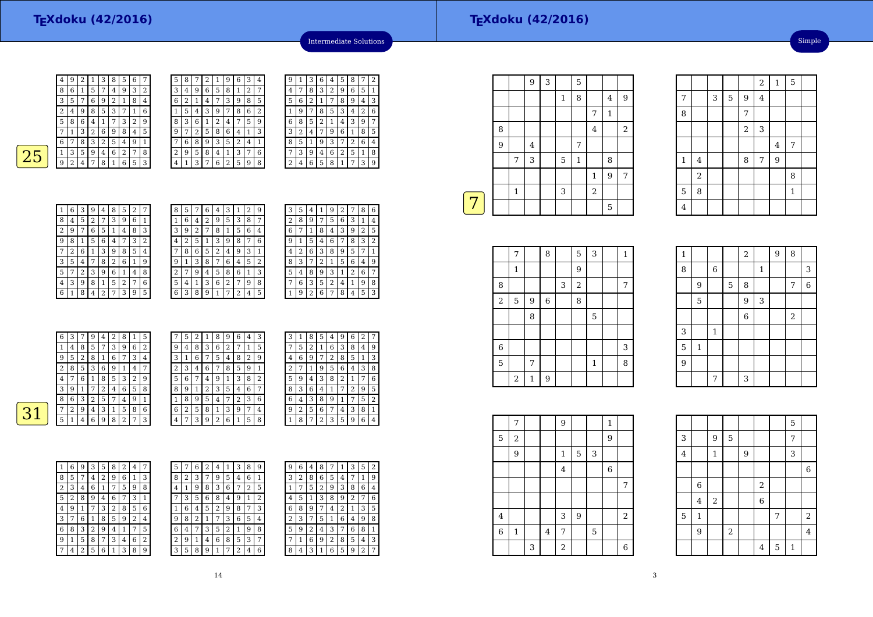| 4 | 9 | 2 |   | 3 | 8 | כ | 6 |   |
|---|---|---|---|---|---|---|---|---|
| 8 | 6 | 1 | 5 | 7 | 4 | 9 | 3 | 2 |
| 3 | 5 | 7 | 6 | 9 | 2 | 1 | 8 | 4 |
| 2 | 4 | 9 | 8 | 5 | 3 |   | 1 | 6 |
| 5 | 8 | 6 | 4 | 1 | 7 | 3 | 2 | 9 |
|   | 1 | 3 | 2 | 6 | 9 | 8 | 4 | 5 |
| 6 | 7 | 8 | 3 | 2 | 5 | 4 | 9 | 1 |
| 1 | 3 | 5 | 9 | 4 | 6 | 2 | 7 | 8 |
| g | 2 | 4 |   | 8 | 1 | 6 | 5 | 3 |
|   |   |   |   |   |   |   |   |   |

| 5              | 8 |   | 2 | 1              | 9 | 6              | 3              | 4              |
|----------------|---|---|---|----------------|---|----------------|----------------|----------------|
| 3              | 4 | 9 | 6 | 5              | 8 | 1              | $\overline{2}$ | 7              |
| 6              | 2 | 1 | 4 | 7              | 3 | 9              | 8              | 5              |
| 1              | 5 | 4 | 3 | 9              | 7 | 8              | 6              | $\overline{2}$ |
| 8              | 3 | 6 | 1 | $\overline{2}$ | 4 | 7              | 5              | 9              |
| 9              | 7 | 2 | 5 | 8              | 6 | 4              | 1              | 3              |
|                | 6 | 8 | 9 | 3              | 5 | $\overline{2}$ | 4              | 1              |
| $\overline{2}$ | 9 | 5 | 8 | 4              | 1 | 3              | 7              | 6              |
| 4              | 1 | 3 | 7 | 6              | 2 | 5              | 9              | 8              |

|  | 9              | 1 | 3 | 6 | 4 | 5 | 8           | 7              | 2 |
|--|----------------|---|---|---|---|---|-------------|----------------|---|
|  | 4              | 7 | 8 | 3 | 2 | 9 | 6           | 5              | 1 |
|  | 5              | 6 | 2 | 1 | 7 | 8 | 9           | 4              | 3 |
|  | 1              | 9 | 7 | 8 | 5 | 3 | 4           | $\overline{2}$ | 6 |
|  | 6              | 8 | 5 | 2 | 1 | 4 | 3           | 9              | 7 |
|  | 3              | 2 | 4 | 7 | 9 | 6 | $\mathbf 1$ | 8              | 5 |
|  | 8              | 5 | 1 | 9 | 3 | 7 | $\sqrt{2}$  | 6              | 4 |
|  | 7              | 3 | 9 | 4 | 6 | 2 | 5           | 1              | 8 |
|  | $\overline{c}$ | 4 | 6 | 5 | 8 | 1 | 7           | 3              | 9 |
|  |                |   |   |   |   |   |             |                |   |

Intermediate Solutions

| <b>STATE</b><br><b>Service Service</b> | ٠<br>$\mathcal{L}(\mathcal{L})$ |
|----------------------------------------|---------------------------------|
|                                        |                                 |

 $\boxed{31}$ 

| 1              | 6 | 3 | 9              | 4 | 8 | 5              | 2 | 7              |
|----------------|---|---|----------------|---|---|----------------|---|----------------|
| 8              | 4 | 5 | $\overline{2}$ | 7 | 3 | 9              | 6 | 1              |
| $\overline{c}$ | 9 | 7 | 6              | 5 | 1 | 4              | 8 | 3              |
| 9              | 8 | 1 | 5              | 6 | 4 | 7              | 3 | $\overline{2}$ |
| 7              | 2 | 6 | 1              | 3 | 9 | 8              | 5 | 4              |
| 3              | 5 | 4 | 7              | 8 | 2 | 6              | 1 | 9              |
| 5              | 7 | 2 | 3              | 9 | 6 | 1              | 4 | 8              |
| 4              | 3 | 9 | 8              | 1 | 5 | $\overline{2}$ | 7 | 6              |
| 6              | 1 | 8 | 4              | 2 | 7 | 3              | 9 | 5              |

| 8 | 5 |   | 6 | 4 | 3 | 1                       | 2 | 9              |  |
|---|---|---|---|---|---|-------------------------|---|----------------|--|
| 1 | 6 | 4 | 2 | 9 | 5 | 3                       | 8 | 7              |  |
| 3 | 9 | 2 | 7 | 8 | 1 | 5                       | 6 | 4              |  |
| 4 | 2 | 5 | 1 | 3 | 9 | 8                       | 7 | 6              |  |
| 7 | 8 | 6 | 5 | 2 | 4 | 9                       | 3 | 1              |  |
| 9 | 1 | 3 | 8 | 7 | 6 | 4                       | 5 | $\overline{2}$ |  |
| 2 | 7 | 9 | 4 | 5 | 8 | 6                       | 1 | 3              |  |
| 5 | 4 | 1 | 3 | 6 | 2 | 7                       | 9 | 8              |  |
| 6 | 3 | 8 | 9 | 1 | 7 | $\overline{\mathbf{c}}$ | 4 | 5              |  |

| 3 | 5 | 4              | 1              |   |   |   |                | 6           |
|---|---|----------------|----------------|---|---|---|----------------|-------------|
| 2 | 8 | 9              | 7              | 5 | 6 | 3 | 1              | 4           |
| 6 | 7 | 1              | 8              | 4 | 3 | 9 | $\overline{2}$ | 5           |
| 9 | 1 | 5              | 4              | 6 | 7 | 8 | 3              | 2           |
| 4 | 2 | 6              | 3              | 8 | 9 | 5 | 7              | 1           |
| 8 | 3 |                | $\overline{c}$ | 1 | 5 | 6 | 4              | 9           |
| 5 | 4 | 8              | 9              | 3 | 1 | 2 | 6              | 7           |
| 7 | 6 | 3              | 5              | 2 | 4 | 1 | 9              | 8           |
|   | 9 | $\overline{2}$ | 6              | 7 | 8 | 4 | 5              | 3           |
|   |   |                |                |   |   |   |                | 2<br>8<br>9 |

| 6              | 3 |   | 9 | 4      | 2 | 8 | 1              | 5 |   | 5 | 2 | 1 | 8 | 9 | 6 | 4 | 3              |
|----------------|---|---|---|--------|---|---|----------------|---|---|---|---|---|---|---|---|---|----------------|
| 1              | 4 | 8 | 5 | 7      | 3 | 9 | 6              | 2 | 9 | 4 | 8 | 3 | 6 | 2 |   |   | 5              |
| 9              | 5 | 2 | 8 |        | 6 | 7 | 3              | 4 | 3 | 1 | 6 |   | 5 | 4 | 8 | 2 | 9              |
| $\overline{2}$ | 8 | 5 | 3 | 6      | 9 | 1 | 4              | 7 | 2 | 3 | 4 | 6 |   | 8 | 5 | 9 | 1              |
| 4              | 7 | 6 |   | 8      | 5 | 3 | $\overline{2}$ | 9 | 5 | 6 | 7 | 4 | 9 |   | 3 | 8 | 2              |
| 3              | 9 |   |   | ∍<br>∠ | 4 | 6 | 5              | 8 | 8 | 9 | 1 | 2 | 3 | 5 | 4 | 6 | 7              |
| 8              | 6 | 3 | 2 | 5      |   | 4 | 9              | 1 |   | 8 | 9 | 5 | 4 |   | 2 | 3 | 6              |
| 7              | 2 | 9 | 4 | 3      | 1 | 5 | 8              | 6 | 6 | 2 | 5 | 8 | 1 | 3 | 9 | 7 | $\overline{4}$ |
| 5              |   | 4 | 6 | 9      | 8 | 2 | 7              | 3 | 4 | 7 | 3 | 9 | 2 | 6 |   | 5 | 8              |

| 3              | 1 | 8 | 5              | 4 | 9 | 6              | 2 |   |
|----------------|---|---|----------------|---|---|----------------|---|---|
| 7              | 5 | 2 | 1              | 6 | 3 | 8              | 4 | 9 |
| 4              | 6 | 9 | 7              | 2 | 8 | 5              | 1 | 3 |
| $\overline{2}$ | 7 | 1 | 9              | 5 | 6 | 4              | 3 | 8 |
| 5              | 9 | 4 | 3              | 8 | 2 | $1\,$          | 7 | 6 |
| 8              | 3 | 6 | 4              | 1 | 7 | $\overline{c}$ | 9 | 5 |
| 6              | 4 | 3 | 8              | 9 | 1 | 7              | 5 | 2 |
| 9              | 2 | 5 | 6              | 7 | 4 | 3              | 8 | 1 |
| 1              | 8 | 7 | $\overline{2}$ | 3 | 5 | 9              | 6 | 4 |

| 1              | 6 | 9 | 3              | 5 | 8 | $\overline{2}$ | 4 | 7 |  |
|----------------|---|---|----------------|---|---|----------------|---|---|--|
| 8              | 5 | 7 | 4              | 2 | 9 | 6              | 1 | 3 |  |
| $\overline{c}$ | 3 | 4 | 6              | 1 | 7 | 5              | 9 | 8 |  |
| 5              | 2 | 8 | 9              | 4 | 6 | 7              | 3 | 1 |  |
| 4              | 9 | 1 | 7              | 3 | 2 | 8              | 5 | 6 |  |
| 3              | 7 | 6 | 1              | 8 | 5 | 9              | 2 | 4 |  |
| 6              | 8 | 3 | $\overline{2}$ | 9 | 4 | 1              | 7 | 5 |  |
| 9              | 1 | 5 | 8              | 7 | 3 | 4              | 6 | 2 |  |
| 7              | 4 | 2 | 5              | 6 | 1 | 3              | 8 | 9 |  |

| 5            |                | 6 | 2 | 4 |   | 3      | 8 | 9 | 9 | 6 | 4 | 8      |   |   | З | 5              | $\overline{2}$ |
|--------------|----------------|---|---|---|---|--------|---|---|---|---|---|--------|---|---|---|----------------|----------------|
| 8            | $\overline{2}$ | 3 | 7 | 9 | 5 | 4      | 6 |   | 3 | 2 | 8 | 6      | 5 | 4 | 7 | 1              | g              |
| 4            | 1              | 9 | 8 | 3 | 6 |        | 2 | 5 |   |   | 5 | ົ<br>∠ | 9 | 3 | 8 | 6              | 4              |
| 7            | 3              | 5 | 6 | 8 | 4 | 9      | 1 | 2 | 4 | 5 |   | 3      | 8 | 9 | 2 |                | 6              |
| $\mathbf{1}$ | 6              | 4 | 5 | 2 | 9 | 8      | 7 | 3 | 6 | 8 | 9 |        | 4 | 2 | 1 | 3              | 5              |
| 9            | 8              | 2 |   | 7 | 3 | 6      | 5 | 4 | 2 | 3 | 7 | 5      | 1 | 6 | 4 | 9              | 8              |
| 6            | 4              | 7 | 3 | 5 | 2 | 1      | 9 | 8 | 5 | 9 | 2 | 4      | 3 | 7 | 6 | 8              | 1              |
| 2            | 9              | 1 | 4 | 6 | 8 | 5      | 3 | 7 | 7 |   | 6 | 9      | 2 | 8 | 5 | 4              | 3              |
| 3            | 5              | 8 | 9 |   | ⇁ | ി<br>∠ | 4 | 6 | 8 | 4 | 3 |        | 6 | 5 | 9 | $\overline{2}$ | 7              |
|              |                |   |   |   |   |        |   |   |   |   |   |        |   |   |   |                |                |

| g | 6 | 4 | 8 |   | ı | 3 | 5 | 2 |
|---|---|---|---|---|---|---|---|---|
| 3 | 2 | 8 | 6 | 5 | 4 | 7 | 1 | 9 |
|   | 7 | 5 | 2 | 9 | 3 | 8 | 6 | 4 |
| 4 | 5 | 1 | 3 | 8 | 9 | 2 | 7 | 6 |
| 6 | 8 | 9 | 7 | 4 | 2 | 1 | 3 | 5 |
| 2 | 3 | 7 | 5 | 1 | 6 | 4 | 9 | 8 |
| 5 | 9 | 2 | 4 | 3 | 7 | 6 | 8 | 1 |
|   | 1 | 6 | 9 | 2 | 8 | 5 | 4 | 3 |
|   |   |   |   |   |   |   |   |   |

|   |   |             | 9       | 3 |              | 5            |              |              |                |
|---|---|-------------|---------|---|--------------|--------------|--------------|--------------|----------------|
|   |   |             |         |   | $\mathbf{1}$ | 8            |              | 4            | 9              |
|   |   |             |         |   |              |              | 7            | $\mathbf{1}$ |                |
|   | 8 |             |         |   |              |              | $\bf 4$      |              | $\overline{2}$ |
|   | 9 |             | $\bf 4$ |   |              | 7            |              |              |                |
|   |   | 7           | 3       |   | 5            | $\mathbf{1}$ |              | 8            |                |
|   |   |             |         |   |              |              | $\mathbf{1}$ | 9            | 7              |
|   |   | $\mathbf 1$ |         |   | 3            |              | $\sqrt{2}$   |              |                |
| 7 |   |             |         |   |              |              |              | 5            |                |
|   |   |             |         |   |              |              |              |              |                |

|                | 7              |                  | 8           |   | 5              | 3            | 1 |
|----------------|----------------|------------------|-------------|---|----------------|--------------|---|
|                | 1              |                  |             |   | 9              |              |   |
| 8              |                |                  |             | 3 | $\overline{a}$ |              | 7 |
| $\overline{a}$ | 5              | $\boldsymbol{9}$ | $\,$ 6 $\,$ |   | 8              |              |   |
|                |                | 8                |             |   |                | 5            |   |
|                |                |                  |             |   |                |              |   |
| 6              |                |                  |             |   |                |              | 3 |
| 5              |                | 7                |             |   |                | $\mathbf{1}$ | 8 |
|                | $\overline{2}$ | $\mathbf 1$      | 9           |   |                |              |   |

| $\mathbf{1}$   |                |              |   | $\,2$ |             | 9 | 8          |                |
|----------------|----------------|--------------|---|-------|-------------|---|------------|----------------|
| 8              |                | $\sqrt{6}$   |   |       | $\mathbf 1$ |   |            | 3              |
|                | $\overline{9}$ |              | 5 | 8     |             |   | 7          | $\overline{6}$ |
|                | 5              |              |   | 9     | 3           |   |            |                |
|                |                |              |   | 6     |             |   | $\sqrt{2}$ |                |
| 3              |                | $\mathbf{1}$ |   |       |             |   |            |                |
| 5              | $\mathbf 1$    |              |   |       |             |   |            |                |
| $\overline{9}$ |                |              |   |       |             |   |            |                |
|                |                | 7            |   | 3     |             |   |            |                |

|                | 7                       |   |                | 9              |                |   | 1           |                |
|----------------|-------------------------|---|----------------|----------------|----------------|---|-------------|----------------|
| $\overline{5}$ | $\overline{\mathbf{c}}$ |   |                |                |                |   | 9           |                |
|                | 9                       |   |                | $\mathbf{1}$   | 5              | 3 |             |                |
|                |                         |   |                | $\overline{4}$ |                |   | $\,$ 6 $\,$ |                |
|                |                         |   |                |                |                |   |             | 7              |
|                |                         |   |                |                |                |   |             |                |
| 4              |                         |   |                | 3              | $\overline{9}$ |   |             | $\overline{2}$ |
| $\overline{6}$ | $\mathbf{1}$            |   | $\overline{4}$ | 7              |                | 5 |             |                |
|                |                         | 3 |                | $\overline{2}$ |                |   |             | $\overline{6}$ |

|                         |                |                |            |   |                |   | 5            |                         |
|-------------------------|----------------|----------------|------------|---|----------------|---|--------------|-------------------------|
| 3                       |                | 9              | 5          |   |                |   | 7            |                         |
| $\overline{\mathbf{4}}$ |                | $\mathbf 1$    |            | 9 |                |   | 3            |                         |
|                         |                |                |            |   |                |   |              | $\overline{6}$          |
|                         | $\sqrt{6}$     |                |            |   | $\overline{2}$ |   |              |                         |
|                         | $\overline{4}$ | $\overline{c}$ |            |   | $\overline{6}$ |   |              |                         |
| 5                       | $\mathbf{1}$   |                |            |   |                | 7 |              | $\overline{\mathbf{c}}$ |
|                         | 9              |                | $\sqrt{2}$ |   |                |   |              | $\overline{\mathbf{4}}$ |
|                         |                |                |            |   | 4              | 5 | $\mathbf{1}$ |                         |

Simple

 $\frac{2}{1}$  5

 $\frac{4}{1}$  7

<sup>3</sup> <sup>5</sup> <sup>9</sup> <sup>4</sup>

 $1 \mid 4 \mid 8 \mid 7 \mid 9$ 

 $\frac{2}{3}$ 

 $\frac{2}{\sqrt{2}}$  8

 $5 \mid 8 \mid$  1

 $\begin{array}{c|c} 8 & \phantom{0} & \phantom{0} \\ \hline \end{array}$ 

7

8

1

5

4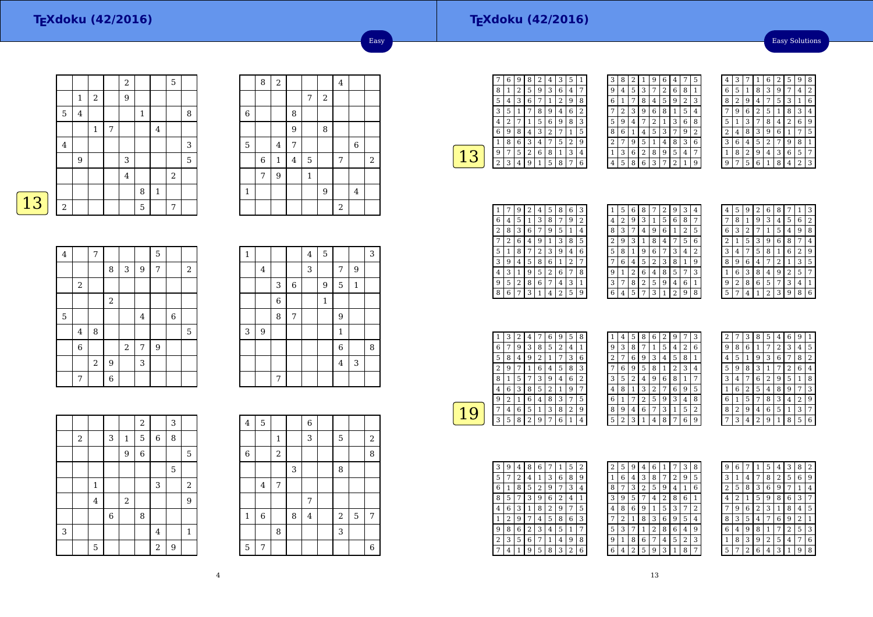#### **TEXdoku (42/2016)**

Easy Solutions

|   |             |              |                |   | $\sqrt{2}$     |              |              | 5                |   |
|---|-------------|--------------|----------------|---|----------------|--------------|--------------|------------------|---|
|   |             | $\mathbf{1}$ | $\overline{2}$ |   | 9              |              |              |                  |   |
|   | $\mathbf 5$ | $\bf 4$      |                |   |                | $\mathbf{1}$ |              |                  | 8 |
|   |             |              | $\mathbf{1}$   | 7 |                |              | $\bf 4$      |                  |   |
|   | $\,4\,$     |              |                |   |                |              |              |                  | 3 |
|   |             | 9            |                |   | 3              |              |              |                  | 5 |
|   |             |              |                |   | $\overline{4}$ |              |              | $\boldsymbol{2}$ |   |
|   |             |              |                |   |                | 8            | $\mathbf{1}$ |                  |   |
| 3 | $\,2$       |              |                |   |                | 5            |              | 7                |   |

|                | 8              | $\overline{c}$ |   |              |            | $\bf 4$ |             |       |
|----------------|----------------|----------------|---|--------------|------------|---------|-------------|-------|
|                |                |                |   | 7            | $\sqrt{2}$ |         |             |       |
| $\overline{6}$ |                |                | 8 |              |            |         |             |       |
|                |                |                | 9 |              | 8          |         |             |       |
| 5              |                | $\overline{4}$ | 7 |              |            |         | $\,$ 6 $\,$ |       |
|                | $\overline{6}$ | $\,1\,$        | 4 | 5            |            | 7       |             | $\,2$ |
|                | 7              | 9              |   | $\mathbf{1}$ |            |         |             |       |
| $\mathbf{1}$   |                |                |   |              | 9          |         | $\bf 4$     |       |
|                |                |                |   |              |            | $\,2$   |             |       |

Easy

| $\overline{\mathbf{4}}$ |                         | $\overline{7}$ |                |       |         | 5              |             |       |
|-------------------------|-------------------------|----------------|----------------|-------|---------|----------------|-------------|-------|
|                         |                         |                | 8              | 3     | 9       | $\overline{7}$ |             | $\,2$ |
|                         | $\,2$                   |                |                |       |         |                |             |       |
|                         |                         |                | $\,2$          |       |         |                |             |       |
| 5                       |                         |                |                |       | $\bf 4$ |                | $\,$ 6 $\,$ |       |
|                         | $\overline{\mathbf{4}}$ | 8              |                |       |         |                |             | 5     |
|                         | $\,$ 6 $\,$             |                |                | $\,2$ | 7       | 9              |             |       |
|                         |                         | $\,2$          | $\overline{9}$ |       | 3       |                |             |       |
|                         | 7                       |                | 6              |       |         |                |             |       |

| $\mathbf 1$ |                  |                |             | $\overline{4}$ | $\overline{5}$ |                |              | 3 |
|-------------|------------------|----------------|-------------|----------------|----------------|----------------|--------------|---|
|             | $\overline{4}$   |                |             | 3              |                | 7              | 9            |   |
|             |                  | 3              | $\,$ 6 $\,$ |                | 9              | 5              | $\mathbf{1}$ |   |
|             |                  | $\overline{6}$ |             |                | $\mathbf{1}$   |                |              |   |
|             |                  | 8              | 7           |                |                | 9              |              |   |
| 3           | $\boldsymbol{9}$ |                |             |                |                | $\mathbf{1}$   |              |   |
|             |                  |                |             |                |                | $\overline{6}$ |              | 8 |
|             |                  |                |             |                |                | $\bf 4$        | 3            |   |
|             |                  | 7              |             |                |                |                |              |   |

|   |   |                         |   |              | $\overline{a}$ |                | 3 |                  |
|---|---|-------------------------|---|--------------|----------------|----------------|---|------------------|
|   | 2 |                         | 3 | $\mathbf{1}$ | 5              | $\,6$          | 8 |                  |
|   |   |                         |   | 9            | $\overline{6}$ |                |   | 5                |
|   |   |                         |   |              |                |                | 5 |                  |
|   |   | $\,1\,$                 |   |              |                | 3              |   | $\boldsymbol{2}$ |
|   |   | $\overline{\mathbf{4}}$ |   | $\,2$        |                |                |   | 9                |
|   |   |                         | 6 |              | 8              |                |   |                  |
| 3 |   |                         |   |              |                | $\overline{4}$ |   | $\mathbf 1$      |
|   |   | 5                       |   |              |                | $\overline{a}$ | 9 |                  |

| $\bf 4$        | $\mathbf 5$ |       |   | 6                       |       |   |       |
|----------------|-------------|-------|---|-------------------------|-------|---|-------|
|                |             | 1     |   | 3                       | 5     |   | $\,2$ |
| $\overline{6}$ |             | $\,2$ |   |                         |       |   | 8     |
|                |             |       | 3 |                         | 8     |   |       |
|                | 4           | 7     |   |                         |       |   |       |
|                |             |       |   | 7                       |       |   |       |
| $\,1\,$        | 6           |       | 8 | $\overline{\mathbf{4}}$ | $\,2$ | 5 | 7     |
|                |             | 8     |   |                         | 3     |   |       |
| 5              | 7           |       |   |                         |       |   | 6     |

|   | 6 | 9 | 8 | 2 | 4                       | 3 | 5              | 1 |
|---|---|---|---|---|-------------------------|---|----------------|---|
| 8 | 1 | 2 | 5 | 9 | 3                       | 6 | 4              | 7 |
| 5 | 4 | 3 | 6 | 7 | 1                       | 2 | 9              | 8 |
| 3 | 5 | 1 | 7 | 8 | 9                       | 4 | 6              | 2 |
| 4 | 2 |   | 1 | 5 | 6                       | 9 | 8              | 3 |
| 6 | 9 | 8 | 4 | 3 | $\overline{\mathbf{c}}$ | 7 | 1              | 5 |
| 1 | 8 | 6 | 3 | 4 |                         | 5 | $\overline{2}$ | g |
| 9 | 7 | 5 | 2 | 6 | 8                       | 1 | 3              | 4 |
| 2 | 3 | 4 | 9 | 1 | 5                       | 8 | 7              | 6 |
|   |   |   |   |   |                         |   |                |   |

| 3 | 8 | 2            | 1 | 9 | 6              | 4              |   | 5 |
|---|---|--------------|---|---|----------------|----------------|---|---|
| 9 | 4 | 5            | 3 | 7 | $\overline{2}$ | 6              | 8 | 1 |
| 6 | 1 | 7            | 8 | 4 | 5              | 9              | 2 | 3 |
|   | 2 | 3            | 9 | 6 | 8              | 1              | 5 | 4 |
| 5 | 9 | 4            | 7 | 2 | 1              | 3              | 6 | 8 |
| 8 | 6 | $\mathbf{1}$ | 4 | 5 | 3              | 7              | 9 | 2 |
| 2 | 7 | 9            | 5 | 1 | 4              | 8              | 3 | 6 |
| 1 | 3 | 6            | 2 | 8 | 9              | 5              | 4 | 7 |
| 4 | 5 | 8            | 6 | 3 | 7              | $\overline{2}$ | 1 | 9 |

| 4 | 3 |   | 1 | 6 | 2 | 5              | 9 | 8 |
|---|---|---|---|---|---|----------------|---|---|
| 6 | 5 | 1 | 8 | 3 | 9 | 7              | 4 | 2 |
| 8 | 2 | 9 | 4 | 7 | 5 | 3              | 1 | 6 |
| 7 | 9 | 6 | 2 | 5 | 1 | 8              | 3 | 4 |
| 5 | 1 | 3 | 7 | 8 | 4 | $\overline{c}$ | 6 | 9 |
| 2 | 4 | 8 | 3 | 9 | 6 | 1              | 7 | 5 |
| 3 | 6 | 4 | 5 | 2 | 7 | 9              | 8 | 1 |
| 1 | 8 | 2 | 9 | 4 | 3 | 6              | 5 | 7 |
| g | 7 | 5 | 6 | 1 | 8 | 4              | 2 | 3 |

|   |   | 9 | 2 | 4 | 5 | 8 | 6 | 3 |
|---|---|---|---|---|---|---|---|---|
| 6 | 4 | 5 | 1 | 3 | 8 |   | 9 | 2 |
| 2 | 8 | 3 | 6 | 7 | 9 | 5 | 1 | 4 |
|   | 2 | 6 | 4 | 9 | 1 | 3 | 8 | 5 |
| 5 | 1 | 8 |   | 2 | 3 | 9 | 4 | 6 |
| 3 | 9 | 4 | 5 | 8 | 6 | 1 | 2 |   |
| 4 | 3 |   | 9 | 5 | 2 | 6 | 7 | 8 |
| 9 | 5 | 2 | 8 | 6 | 7 | 4 | 3 | 1 |
| 8 | 6 |   | 3 |   | 4 | 2 | 5 | 9 |

| 1 | 5 | 6 | 8 | 7 | 2 | 9 | 3              | 4              |
|---|---|---|---|---|---|---|----------------|----------------|
| 4 | 2 | 9 | 3 | 1 | 5 | 6 | 8              | 7              |
| 8 | 3 | 7 | 4 | 9 | 6 | 1 | $\overline{2}$ | 5              |
| 2 | 9 | 3 | 1 | 8 | 4 |   | 5              | 6              |
| 5 | 8 | 1 | 9 | 6 |   | 3 | 4              | $\overline{2}$ |
|   | 6 | 4 | 5 | 2 | 3 | 8 | 1              | 9              |
| 9 | 1 | 2 | 6 | 4 | 8 | 5 | 7              | 3              |
| 3 | 7 | 8 | 2 | 5 | 9 | 4 | 6              | 1              |
| 6 | 4 | 5 | 7 | 3 |   | 2 | 9              | 8              |
|   |   |   |   |   |   |   |                |                |

| 4 | 5 | g | 2 | 6 | 8 | 7 | 1 | 3 |
|---|---|---|---|---|---|---|---|---|
|   | 8 | 1 | 9 | 3 | 4 | 5 | 6 | 2 |
| 6 | 3 | 2 | 7 | 1 | 5 | 4 | 9 | 8 |
| 2 | 1 | 5 | 3 | 9 | 6 | 8 | 7 | 4 |
| 3 | 4 | 7 | 5 | 8 | 1 | 6 | 2 | 9 |
| 8 | 9 | 6 | 4 | 7 | 2 | 1 | 3 | 5 |
| 1 | 6 | 3 | 8 | 4 | 9 | 2 | 5 | 7 |
| g | 2 | 8 | 6 | 5 | 7 | 3 | 4 | 1 |
| 5 |   | 4 | 1 | 2 | 3 | 9 | 8 | 6 |

|   | 3 | 2 | 4 |   | 6 | 9 | 5 | 8 |  |
|---|---|---|---|---|---|---|---|---|--|
| 6 |   | 9 | 3 | 8 | 5 | 2 | 4 |   |  |
| 5 | 8 | 4 | 9 | 2 | 1 |   | 3 | 6 |  |
| 2 | 9 |   | ı | 6 | 4 | 5 | 8 | 3 |  |
| 8 | 1 | 5 | 7 | 3 | 9 | 4 | 6 | 2 |  |
| 4 | 6 | 3 | 8 | 5 | 2 |   | 9 | 7 |  |
| 9 | 2 |   | 6 | 4 | 8 | 3 |   | 5 |  |
|   | 4 | 6 | 5 | 1 | 3 | 8 | 2 | 9 |  |
| З | 5 | 8 | 2 | 9 | 7 | 6 | 1 | 4 |  |

| 1 | 4 | 5 | 8 | 6 | 2 | 9              | 7              | 3 |  |
|---|---|---|---|---|---|----------------|----------------|---|--|
| 9 | 3 | 8 | 7 | 1 | 5 | 4              | $\overline{2}$ | 6 |  |
| 2 | 7 | 6 | 9 | 3 | 4 | 5              | 8              | 1 |  |
| 7 | 6 | 9 | 5 | 8 | 1 | $\overline{2}$ | 3              | 4 |  |
| 3 | 5 | 2 | 4 | 9 | 6 | 8              | 1              | 7 |  |
| 4 | 8 | 1 | 3 | 2 | 7 | 6              | 9              | 5 |  |
| 6 | 1 | 7 | 2 | 5 | 9 | 3              | 4              | 8 |  |
| 8 | 9 | 4 | 6 | 7 | 3 | 1              | 5              | 2 |  |
| 5 | 2 | 3 | 1 | 4 | 8 | 7              | 6              | 9 |  |

| $\overline{c}$ |   | 3 | 8              | 5 | 4 | 6              | 9              | 1 |
|----------------|---|---|----------------|---|---|----------------|----------------|---|
| 9              | 8 | 6 | 1              | 7 | 2 | 3              | 4              | 5 |
| 4              | 5 | 1 | 9              | 3 | 6 | 7              | 8              | 2 |
| 5              | 9 | 8 | 3              | 1 | 7 | $\overline{2}$ | 6              | 4 |
| 3              | 4 | 7 | 6              | 2 | 9 | 5              | 1              | 8 |
| 1              | 6 | 2 | 5              | 4 | 8 | 9              | 7              | 3 |
| 6              | 1 | 5 | 7              | 8 | 3 | 4              | $\overline{2}$ | 9 |
| 8              | 2 | 9 | 4              | 6 | 5 | 1              | 3              | 7 |
|                | 3 | 4 | $\overline{2}$ | 9 | 1 | 8              | 5              | 6 |

| 3 | 9 | 4 | 8 | 6 |   | 1              | 5 | 2 |
|---|---|---|---|---|---|----------------|---|---|
| 5 | 7 | 2 | 4 | 1 | 3 | 6              | 8 | 9 |
| 6 | 1 | 8 | 5 | 2 | 9 | 7              | 3 | 4 |
| 8 | 5 | 7 | 3 | 9 | 6 | $\overline{2}$ | 4 | 1 |
| 4 | 6 | 3 | 1 | 8 | 2 | 9              | 7 | 5 |
| 1 | 2 | 9 | 7 | 4 | 5 | 8              | 6 | 3 |
| 9 | 8 | 6 | 2 | 3 | 4 | 5              | 1 | 7 |
| 2 | 3 | 5 | 6 | 7 | 1 | 4              | 9 | 8 |
|   | 4 | 1 | 9 | 5 | 8 | 3              | 2 | 6 |

| 2 | 5 | 9              | 4              | 6 | 1 |   | 3 | 8 |
|---|---|----------------|----------------|---|---|---|---|---|
| 1 | 6 | 4              | 3              | 8 | 7 | 2 | 9 | 5 |
| 8 |   | 3              | $\overline{2}$ | 5 | 9 | 4 | 1 | 6 |
| 3 | 9 | 5              | 7              | 4 | 2 | 8 | 6 | 1 |
| 4 | 8 | 6              | 9              | 1 | 5 | 3 | 7 | 2 |
|   | 2 | 1              | 8              | 3 | 6 | 9 | 5 | 4 |
| 5 | 3 | 7              | 1              | 2 | 8 | 6 | 4 | 9 |
| 9 | 1 | 8              | 6              | 7 | 4 | 5 | 2 | 3 |
| 6 | 4 | $\overline{2}$ | 5              | 9 | 3 | 1 | 8 | 7 |

| 9 | 6 |   | 1 | 5 | 4 | 3 | 8              | 2 |
|---|---|---|---|---|---|---|----------------|---|
| 3 | 1 | 4 | 7 | 8 | 2 | 5 | 6              | 9 |
| 2 | 5 | 8 | 3 | 6 | 9 | 7 | 1              | 4 |
| 4 | 2 | 1 | 5 | 9 | 8 | 6 | 3              | 7 |
| 7 | 9 | 6 | 2 | 3 | 1 | 8 | 4              | 5 |
| 8 | 3 | 5 | 4 | 7 | 6 | 9 | $\overline{2}$ | 1 |
| 6 | 4 | 9 | 8 | 1 |   | 2 | 5              | 3 |
| 1 | 8 | 3 | 9 | 2 | 5 | 4 | 7              | 6 |
| 5 |   | 2 | 6 | 4 | 3 | 1 | 9              | 8 |
|   |   |   |   |   |   |   |                |   |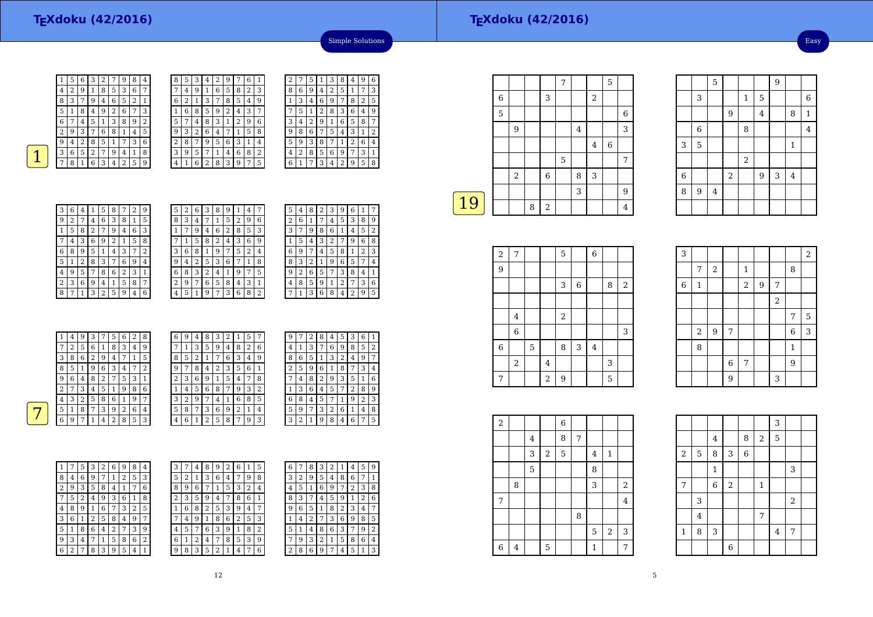Easy

 $\begin{array}{|c|c|c|}\n\hline\n8 & 1 \\
\hline\n4 & \hline\n\end{array}$ 



| 8 | 5 | 3 | 4              | 2 | 9              |   | 6 | 1              |
|---|---|---|----------------|---|----------------|---|---|----------------|
|   | 4 | 9 | 1              | 6 | 5              | 8 | 2 | 3              |
| 6 | 2 | 1 | 3              | 7 | 8              | 5 | 4 | 9              |
| 1 | 6 | 8 | 5              | 9 | $\overline{2}$ | 4 | 3 | 7              |
| 5 | 7 | 4 | 8              | 3 | 1              | 2 | 9 | 6              |
| 9 | 3 | 2 | 6              | 4 | 7              | 1 | 5 | 8              |
| 2 | 8 | 7 | 9              | 5 | 6              | 3 | 1 | 4              |
| 3 | 9 | 5 | 7              | 1 | 4              | 6 | 8 | $\overline{2}$ |
| 4 | 1 | 6 | $\overline{2}$ | 8 | 3              | 9 | 7 | 5              |

|   | 2 | 7 | 5 | 1              | З | 8 | 4              | 9              | 6              |
|---|---|---|---|----------------|---|---|----------------|----------------|----------------|
|   | 8 | 6 | 9 | 4              | 2 | 5 | 1              | 7              | 3              |
|   |   | 3 | 4 | 6              | 9 | 7 | 8              | $\overline{2}$ | 5              |
|   |   | 5 | 1 | $\overline{2}$ | 8 | 3 | 6              | 4              | 9              |
|   | 3 | 4 | 2 | 9              | 1 | 6 | 5              | 8              | 7              |
|   | 9 | 8 | 6 | 7              | 5 | 4 | 3              | 1              | $\overline{2}$ |
| İ | 5 | 9 | 3 | 8              | 7 | 1 | $\overline{c}$ | 6              | 4              |
|   | 4 | 2 | 8 | 5              | 6 | 9 | 7              | 3              | 1              |
|   | 6 | 1 | 7 | 3              | 4 | 2 | 9              | 5              | 8              |
|   |   |   |   |                |   |   |                |                |                |

Simple Solutions

| 3 | 6 | 4              | 1 | 5 | 8              | 7              | 2 | 9 |  |
|---|---|----------------|---|---|----------------|----------------|---|---|--|
| 9 | 2 | 7              | 4 | 6 | 3              | 8              | 1 | 5 |  |
| 1 | 5 | 8              | 2 | 7 | 9              | 4              | 6 | 3 |  |
| 7 | 4 | 3              | 6 | 9 | $\overline{c}$ | 1              | 5 | 8 |  |
| 6 | 8 | 9              | 5 | 1 | 4              | 3              | 7 | 2 |  |
| 5 | 1 | $\overline{2}$ | 8 | 3 | 7              | 6              | 9 | 4 |  |
| 4 | 9 | 5              | 7 | 8 | 6              | $\overline{2}$ | 3 | 1 |  |
| 2 | 3 | 6              | 9 | 4 | $\mathbf{1}$   | 5              | 8 | 7 |  |
| 8 |   | 1              | 3 | 2 | 5              | 9              | 4 | 6 |  |

| 5 | 2 | 6 | 3              | 8 | 9 | 1 | 4 | 7 |
|---|---|---|----------------|---|---|---|---|---|
| 8 | 3 | 4 | 7              | 1 | 5 | 2 | 9 | 6 |
| 1 |   | 9 | 4              | 6 | 2 | 8 | 5 | 3 |
|   | 1 | 5 | 8              | 2 | 4 | 3 | 6 | 9 |
| 3 | 6 | 8 | 1              | 9 | 7 | 5 | 2 | 4 |
| 9 | 4 | 2 | 5              | 3 | 6 |   | 1 | 8 |
| 6 | 8 | 3 | $\overline{2}$ | 4 | 1 | 9 | 7 | 5 |
| 2 | 9 | 7 | 6              | 5 | 8 | 4 | 3 | 1 |
| 4 | 5 | 1 | 9              | 7 | 3 | 6 | 8 | 2 |

| 5 | 4 | 8            | 2 | 3              |   |                |   |             |
|---|---|--------------|---|----------------|---|----------------|---|-------------|
| 2 | 6 | $\mathbf{1}$ |   | 4              | 5 | 3              | 8 | 9           |
| 3 |   | 9            | 8 | 6              | 1 | 4              | 5 | 2           |
| 1 | 5 | 4            | 3 | $\overline{2}$ |   | 9              | 6 | 8           |
| 6 | 9 | 7            | 4 | 5              | 8 | 1              | 2 | 3           |
| 8 | 3 | 2            | 1 | 9              | 6 | 5              |   | 4           |
| 9 | 2 | 6            | 5 | 7              | 3 | 8              | 4 | 1           |
| 4 | 8 | 5            | 9 | 1              | 2 | 7              | 3 | 6           |
|   | 1 | 3            | 6 | 8              | 4 | $\overline{2}$ | 9 | 5           |
|   |   |              |   |                |   |                |   | 9<br>6<br>1 |

|        | 4 | 9 | 3 |   | 5              | 6 | 2 | 8              | 6              | 9 | 4 | 8 | 3 | 2 | 1 | 5 | 7 |
|--------|---|---|---|---|----------------|---|---|----------------|----------------|---|---|---|---|---|---|---|---|
| ⇁      | ∍ | 5 | 6 |   | 8              | 3 | 4 | 9              | 7              |   | 3 | 5 | 9 | 4 | 8 | 2 | 6 |
| 3      | 8 | 6 | 2 | 9 | 4              |   | 1 | 5              | 8              | 5 | 2 | ı | 7 | 6 | 3 | 4 | 9 |
| 8      | 5 |   | 9 | 6 | 3              | 4 | ⇁ | $\overline{2}$ | 9              | ¬ | 8 | 4 | 2 | 3 | 5 | 6 | 1 |
| 9      | 6 | 4 | 8 | 2 | 7              | 5 | 3 | 1              | $\overline{2}$ | 3 | 6 | 9 |   | 5 | 4 | 7 | 8 |
| ∍<br>∠ | 7 | 3 | 4 | 5 | 1              | 9 | 8 | 6              | 1              | 4 | 5 | 6 | 8 | 7 | 9 | 3 | 2 |
| 4      | 3 | 2 | 5 | 8 | 6              |   | 9 | 7              | 3              | 2 | 9 |   | 4 |   | 6 | 8 | 5 |
| 5      |   | 8 | 7 | 3 | 9              | 2 | 6 | 4              | 5              | 8 | 7 | 3 | 6 | 9 | 2 |   | 4 |
| 6      | 9 | 7 |   | 4 | $\overline{2}$ | 8 | 5 | 3              | $\overline{4}$ | 6 |   | 2 | 5 | 8 | 7 | 9 | 3 |

4

| 9 |   | 2 | 8              | 4 | 5              | 3                       | 6 |   |
|---|---|---|----------------|---|----------------|-------------------------|---|---|
| 4 | 1 | 3 | 7              | 6 | 9              | 8                       | 5 | 2 |
| 8 | 6 | 5 | $\mathbf{1}$   | 3 | $\overline{c}$ | 4                       | 9 | 7 |
| 2 | 5 | 9 | 6              | 1 | 8              | 7                       | 3 | 4 |
|   | 4 | 8 | $\overline{2}$ | 9 | 3              | 5                       | 1 | 6 |
| 1 | 3 | 6 | 4              | 5 | 7              | $\overline{\mathbf{c}}$ | 8 | 9 |
| 6 | 8 | 4 | 5              | 7 | 1              | 9                       | 2 | 3 |
| 5 | 9 | 7 | 3              | 2 | 6              | 1                       | 4 | 8 |
| 3 | 2 | 1 | 9              | 8 | 4              | 6                       | 7 | 5 |

| 1 | 7              | 5 | 3 | 2 | 6 | 9 | 8 | 4 |
|---|----------------|---|---|---|---|---|---|---|
| 8 | 4              | 6 | 9 | 7 | 1 | 2 | 5 | 3 |
| 2 | 9              | 3 | 5 | 8 | 4 | 1 | 7 | 6 |
|   | 5              | 2 | 4 | 9 | 3 | 6 | 1 | 8 |
| 4 | 8              | 9 | 1 | 6 | 7 | 3 | 2 | 5 |
| 3 | 6              | 1 | 2 | 5 | 8 | 4 | 9 | 7 |
| 5 | 1              | 8 | 6 | 4 | 2 | 7 | 3 | 9 |
| 9 | 3              | 4 | 7 | 1 | 5 | 8 | 6 | 2 |
| 6 | $\overline{2}$ | 7 | 8 | 3 | 9 | 5 | 4 | 1 |

| 3            | 7 | 4              | 8 | 9      | 2 | 6 |   | 5              | 6 |                | 8 | 3 | 2 | ı              | 4 | 5 | 9 |
|--------------|---|----------------|---|--------|---|---|---|----------------|---|----------------|---|---|---|----------------|---|---|---|
| 5            | 2 | 1              | 3 | 6      | 4 | 7 | 9 | 8              | 3 | $\overline{2}$ | 9 | 5 | 4 | 8              | 6 | 7 |   |
| 8            | 9 | 6              | 7 | ┸      | 5 | 3 | 2 | 4              | 4 | 5              | 1 | 6 | 9 | 7              | 2 | 3 | 8 |
| 2            | 3 | 5              | 9 | 4      |   | 8 | 6 | 1              | 8 | 3              | 7 | 4 | 5 | 9              | 1 | 2 | 6 |
| $\mathbf{1}$ | 6 | 8              | 2 | 5      | 3 | 9 | 4 | 7              | 9 | 6              | 5 | 1 | 8 | $\overline{2}$ | 3 | 4 | 7 |
| 7            | 4 | 9              |   | 8      | 6 | 2 | 5 | 3              | 1 | 4              | 2 | 7 | 3 | 6              | 9 | 8 | 5 |
| 4            | 5 | 7              | 6 | 3      | 9 |   | 8 | $\overline{2}$ | 5 | 1              | 4 | 8 | 6 | 3              | 7 | 9 | 2 |
| 6            | 1 | $\overline{2}$ | 4 | 7      | 8 | 5 | 3 | 9              | 7 | 9              | 3 | 2 | 1 | 5              | 8 | 6 | 4 |
| 9            | 8 | 3              | 5 | າ<br>∠ |   | 4 | 7 | 6              | h | 8              | 6 | 9 | 7 | 4              | 5 |   | 3 |
|              |   |                |   |        |   |   |   |                |   |                |   |   |   |                |   |   |   |

|    |   |            |   |             | 7 |   |                | 5 |                |
|----|---|------------|---|-------------|---|---|----------------|---|----------------|
|    | 6 |            |   | 3           |   |   | $\overline{2}$ |   |                |
|    | 5 |            |   |             |   |   |                |   | 6              |
|    |   | 9          |   |             |   | 4 |                |   | 3              |
|    |   |            |   |             |   |   | $\overline{4}$ | 6 |                |
|    |   |            |   |             | 5 |   |                |   | 7              |
|    |   | $\sqrt{2}$ |   | $\,$ 6 $\,$ |   | 8 | 3              |   |                |
|    |   |            |   |             |   | 3 |                |   | 9              |
| 19 |   |            | 8 | $\sqrt{2}$  |   |   |                |   | $\overline{4}$ |
|    |   |            |   |             |   |   |                |   |                |

| $\overline{2}$ | 7           |   |                | 5              |       | $\boldsymbol{6}$ |   |       |
|----------------|-------------|---|----------------|----------------|-------|------------------|---|-------|
| 9              |             |   |                |                |       |                  |   |       |
|                |             |   |                | 3              | $\,6$ |                  | 8 | $\,2$ |
|                |             |   |                |                |       |                  |   |       |
|                | 4           |   |                | $\overline{2}$ |       |                  |   |       |
|                | $\,$ 6 $\,$ |   |                |                |       |                  |   | 3     |
| $\,6\,$        |             | 5 |                | 8              | 3     | $\bf 4$          |   |       |
|                | $\,2$       |   | $\overline{4}$ |                |       |                  | 3 |       |
| 7              |             |   | $\overline{a}$ | 9              |       |                  | 5 |       |

| 3           |                         |                |                |              |   |                |                | $\overline{2}$ |
|-------------|-------------------------|----------------|----------------|--------------|---|----------------|----------------|----------------|
|             | 7                       | $\,2$          |                | $\mathbf{1}$ |   |                | 8              |                |
| $\,$ 6 $\,$ | $\mathbf{1}$            |                |                | $\,2$        | 9 | 7              |                |                |
|             |                         |                |                |              |   | $\overline{a}$ |                |                |
|             |                         |                |                |              |   |                | 7              | 5              |
|             | $\overline{\mathbf{c}}$ | $\overline{9}$ | 7              |              |   |                | $\overline{6}$ | $\overline{3}$ |
|             | 8                       |                |                |              |   |                | $\mathbf{1}$   |                |
|             |                         |                | $\overline{6}$ | 7            |   |                | $\overline{9}$ |                |
|             |                         |                | 9              |              |   | 3              |                |                |

5

 $\frac{3}{\frac{1}{2}}$   $\frac{1}{2}$ 

9

 $3 \mid 5 \mid$  1 2

3

6

 $\begin{array}{|c|c|c|c|c|}\n\hline\n6 & 2 \\
\hline\n\end{array}$ 

6

8<sup>9</sup> <sup>4</sup>

 $\begin{array}{c|c} 5 & 9 \end{array}$ 

 $\begin{array}{c|c} & 4 \\ \hline 8 & \end{array}$ 

6 8 4

 $2 \mid 9 \mid 3 \mid 4$ 

 $\begin{array}{|c|c|c|c|c|}\n\hline\n1 & 5 & 6 \\
\hline\n\end{array}$ 

| $\overline{a}$ |   |   |            | 6 |   |                |                |                  |  |
|----------------|---|---|------------|---|---|----------------|----------------|------------------|--|
|                |   | 4 |            | 8 | 7 |                |                |                  |  |
|                |   | 3 | $\sqrt{2}$ | 5 |   | $\overline{4}$ | $\mathbf{1}$   |                  |  |
|                |   | 5 |            |   |   | 8              |                |                  |  |
|                | 8 |   |            |   |   | 3              |                | $\boldsymbol{2}$ |  |
| 7              |   |   |            |   |   |                |                | $\overline{4}$   |  |
|                |   |   |            |   | 8 |                |                |                  |  |
|                |   |   |            |   |   | 5              | $\overline{2}$ | 3                |  |
| $\overline{6}$ | 4 |   | 5          |   |   | $\mathbf{1}$   |                | 7                |  |

|                |                |                |            |       |              | 3                       |            |  |
|----------------|----------------|----------------|------------|-------|--------------|-------------------------|------------|--|
|                |                | $\overline{4}$ |            | 8     | $\sqrt{2}$   | 5                       |            |  |
| $\sqrt{2}$     | 5              | 8              | 3          | $\,6$ |              |                         |            |  |
|                |                | $\mathbf{1}$   |            |       |              |                         | 3          |  |
| $\overline{7}$ |                | 6              | $\sqrt{2}$ |       | $\mathbf{1}$ |                         |            |  |
|                | 3              |                |            |       |              |                         | $\sqrt{2}$ |  |
|                | $\overline{4}$ |                |            |       | 7            |                         |            |  |
| $\mathbf{1}$   | 8              | 3              |            |       |              | $\overline{\mathbf{4}}$ | 7          |  |
|                |                |                | 6          |       |              |                         |            |  |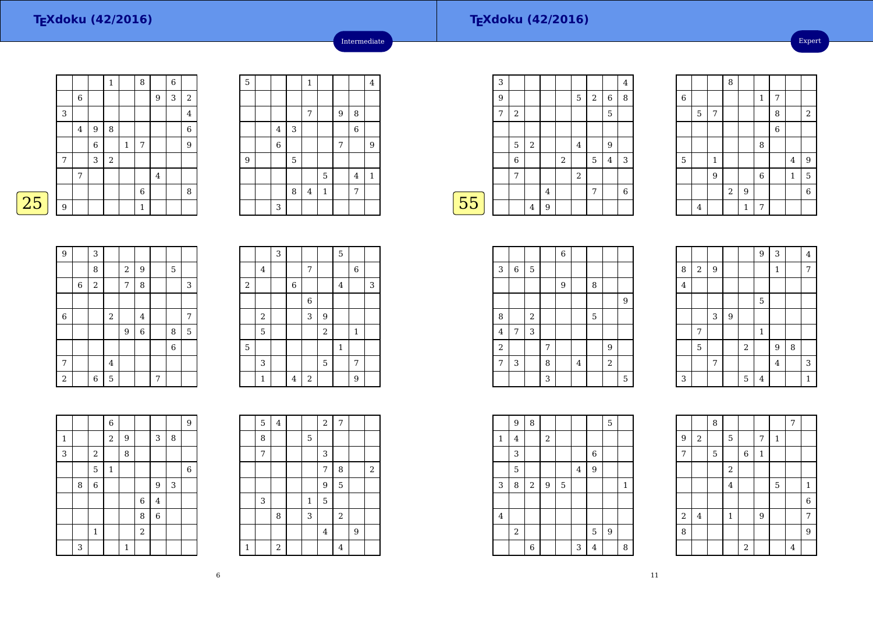|   |                |   | $\,1\,$    |              | 8            |                | $\,$ 6 $\,$ |                |
|---|----------------|---|------------|--------------|--------------|----------------|-------------|----------------|
|   | 6              |   |            |              |              | 9              | 3           | $\sqrt{2}$     |
| 3 |                |   |            |              |              |                |             | $\bf 4$        |
|   | $\overline{4}$ | 9 | 8          |              |              |                |             | $\overline{6}$ |
|   |                | 6 |            | $\mathbf{1}$ | $\sqrt{ }$   |                |             | 9              |
| 7 |                | 3 | $\sqrt{2}$ |              |              |                |             |                |
|   | 7              |   |            |              |              | $\overline{4}$ |             |                |
|   |                |   |            |              | $\,6$        |                |             | 8              |
| 9 |                |   |            |              | $\mathbf{1}$ |                |             |                |
|   |                |   |            |              |              |                |             |                |

| $\overline{5}$ |                  |   | $\mathbf{1}$   |              |                |                | $\bf 4$      |
|----------------|------------------|---|----------------|--------------|----------------|----------------|--------------|
|                |                  |   |                |              |                |                |              |
|                |                  |   | 7              |              | $\overline{9}$ | 8              |              |
|                | $\overline{4}$   | 3 |                |              |                | $\overline{6}$ |              |
|                | $\boldsymbol{6}$ |   |                |              | 7              |                | 9            |
| $\overline{9}$ |                  | 5 |                |              |                |                |              |
|                |                  |   |                | 5            |                | $\bf 4$        | $\mathbf{1}$ |
|                |                  | 8 | $\overline{4}$ | $\mathbf{1}$ |                | 7              |              |
|                | 3                |   |                |              |                |                |              |

Intermediate

|    | 3 |                |            |                |       |            |                |   | 4 |
|----|---|----------------|------------|----------------|-------|------------|----------------|---|---|
|    | 9 |                |            |                |       | 5          | $\overline{2}$ | 6 | 8 |
|    | 7 | $\overline{2}$ |            |                |       |            |                | 5 |   |
|    |   |                |            |                |       |            |                |   |   |
|    |   | 5              | $\sqrt{2}$ |                |       | 4          |                | 9 |   |
|    |   | 6              |            |                | $\,2$ |            | 5              | 4 | 3 |
|    |   | 7              |            |                |       | $\sqrt{2}$ |                |   |   |
|    |   |                |            | $\overline{4}$ |       |            | 7              |   | 6 |
| 55 |   |                | $\bf 4$    | 9              |       |            |                |   |   |
|    |   |                |            |                |       |            |                |   |   |

|       |                |              | 8     |                |             |                |             |                |
|-------|----------------|--------------|-------|----------------|-------------|----------------|-------------|----------------|
| $\,6$ |                |              |       |                | $\mathbf 1$ | 7              |             |                |
|       | $\mathbf 5$    | 7            |       |                |             | 8              |             | $\sqrt{2}$     |
|       |                |              |       |                |             | $\overline{6}$ |             |                |
|       |                |              |       |                | 8           |                |             |                |
| 5     |                | $\mathbf{1}$ |       |                |             |                | $\bf 4$     | 9              |
|       |                | 9            |       |                | $\,$ 6 $\,$ |                | $\mathbf 1$ | 5              |
|       |                |              | $\,2$ | $\overline{9}$ |             |                |             | $\overline{6}$ |
|       | $\overline{4}$ |              |       | $\mathbf 1$    | 7           |                |             |                |

| 9                |   | 3              |                         |            |                         |   |   |   |
|------------------|---|----------------|-------------------------|------------|-------------------------|---|---|---|
|                  |   | 8              |                         | $\sqrt{2}$ | 9                       |   | 5 |   |
|                  | 6 | $\overline{c}$ |                         | 7          | 8                       |   |   | 3 |
|                  |   |                |                         |            |                         |   |   |   |
| 6                |   |                | $\sqrt{2}$              |            | $\overline{\mathbf{4}}$ |   |   | 7 |
|                  |   |                |                         | 9          | $\overline{6}$          |   | 8 | 5 |
|                  |   |                |                         |            |                         |   | 6 |   |
| 7                |   |                | $\overline{\mathbf{4}}$ |            |                         |   |   |   |
| $\boldsymbol{2}$ |   | $\overline{6}$ | 5                       |            |                         | 7 |   |   |

|            |             | 3 |             |            |                | 5              |              |   |
|------------|-------------|---|-------------|------------|----------------|----------------|--------------|---|
|            | $\bf 4$     |   |             | 7          |                |                | $\,$ 6 $\,$  |   |
| $\sqrt{2}$ |             |   | $\,$ 6 $\,$ |            |                | $\overline{4}$ |              | 3 |
|            |             |   |             | 6          |                |                |              |   |
|            | $\,2$       |   |             | 3          | 9              |                |              |   |
|            | 5           |   |             |            | $\overline{2}$ |                | $\mathbf{1}$ |   |
| 5          |             |   |             |            |                | $\mathbf{1}$   |              |   |
|            | 3           |   |             |            | 5              |                | 7            |   |
|            | $\mathbf 1$ |   | 4           | $\sqrt{2}$ |                |                | 9            |   |

|              |   |             | $\overline{6}$ |              |                |                |   | 9           |
|--------------|---|-------------|----------------|--------------|----------------|----------------|---|-------------|
| $\mathbf{1}$ |   |             | $\overline{a}$ | 9            |                | 3              | 8 |             |
| 3            |   | $\,2$       |                | 8            |                |                |   |             |
|              |   | 5           | $\,1\,$        |              |                |                |   | $\,$ 6 $\,$ |
|              | 8 | 6           |                |              |                | 9              | 3 |             |
|              |   |             |                |              | $\,$ 6 $\,$    | $\overline{4}$ |   |             |
|              |   |             |                |              | 8              | 6              |   |             |
|              |   | $\mathbf 1$ |                |              | $\overline{a}$ |                |   |             |
|              | 3 |             |                | $\mathbf{1}$ |                |                |   |             |

|              | 5 | $\bf 4$        |              | $\,2$   | $\overline{7}$ |   |       |
|--------------|---|----------------|--------------|---------|----------------|---|-------|
|              | 8 |                | $\mathbf 5$  |         |                |   |       |
|              | 7 |                |              | 3       |                |   |       |
|              |   |                |              | 7       | 8              |   | $\,2$ |
|              |   |                |              | 9       | 5              |   |       |
|              | 3 |                | $\mathbf{1}$ | 5       |                |   |       |
|              |   | 8              | 3            |         | $\sqrt{2}$     |   |       |
|              |   |                |              | $\bf 4$ |                | 9 |       |
| $\mathbf{1}$ |   | $\overline{2}$ |              |         | $\overline{4}$ |   |       |

|                |   |   |   |   | 6 |                |   |                  |   |
|----------------|---|---|---|---|---|----------------|---|------------------|---|
| 3              | 6 |   | 5 |   |   |                |   |                  |   |
|                |   |   |   |   | 9 |                | 8 |                  |   |
|                |   |   |   |   |   |                |   |                  | 9 |
| 8              |   |   | 2 |   |   |                | 5 |                  |   |
| $\overline{4}$ | 7 | 3 |   |   |   |                |   |                  |   |
| $\sqrt{2}$     |   |   |   | 7 |   |                |   | 9                |   |
| 7              | 3 |   |   | 8 |   | $\overline{4}$ |   | $\boldsymbol{2}$ |   |
|                |   |   |   | 3 |   |                |   |                  | 5 |

|                |            |                |                |                | $\overline{9}$ | 3              |   | $\overline{4}$ |
|----------------|------------|----------------|----------------|----------------|----------------|----------------|---|----------------|
| 8              | $\sqrt{2}$ | 9              |                |                |                | $\mathbf{1}$   |   | 7              |
| $\overline{4}$ |            |                |                |                |                |                |   |                |
|                |            |                |                |                | $\overline{5}$ |                |   |                |
|                |            | 3              | $\overline{9}$ |                |                |                |   |                |
|                | 7          |                |                |                | $\mathbf{1}$   |                |   |                |
|                | 5          |                |                | $\overline{2}$ |                | 9              | 8 |                |
|                |            | $\overline{7}$ |                |                |                | $\overline{4}$ |   | 3              |
| 3              |            |                |                | 5              | $\bf 4$        |                |   | $\mathbf{1}$   |

|                | 9       | 8              |       |             |                |                | 5                |              |
|----------------|---------|----------------|-------|-------------|----------------|----------------|------------------|--------------|
| $\mathbf 1$    | $\bf 4$ |                | $\,2$ |             |                |                |                  |              |
|                | 3       |                |       |             |                | $\,6$          |                  |              |
|                | 5       |                |       |             | $\overline{4}$ | 9              |                  |              |
| 3              | 8       | $\,2$          | 9     | $\mathbf 5$ |                |                |                  | $\mathbf{1}$ |
|                |         |                |       |             |                |                |                  |              |
| $\overline{4}$ |         |                |       |             |                |                |                  |              |
|                | $\,2$   |                |       |             |                | 5              | $\boldsymbol{9}$ |              |
|                |         | $\overline{6}$ |       |             | 3              | $\overline{4}$ |                  | 8            |

|                         |            | 8 |                |             |       |              | 7              |                |  |
|-------------------------|------------|---|----------------|-------------|-------|--------------|----------------|----------------|--|
| $\boldsymbol{9}$        | $\sqrt{2}$ |   | 5              |             | 7     | $\mathbf{1}$ |                |                |  |
| $\overline{7}$          |            | 5 |                | $\,$ 6 $\,$ | $1\,$ |              |                |                |  |
|                         |            |   | $\overline{a}$ |             |       |              |                |                |  |
|                         |            |   | $\overline{4}$ |             |       | 5            |                | $\mathbf{1}$   |  |
|                         |            |   |                |             |       |              |                | $\overline{6}$ |  |
| $\overline{\mathbf{c}}$ | $\bf 4$    |   | $\mathbf{1}$   |             | 9     |              |                | 7              |  |
| 8                       |            |   |                |             |       |              |                | 9              |  |
|                         |            |   |                | $\,2$       |       |              | $\overline{4}$ |                |  |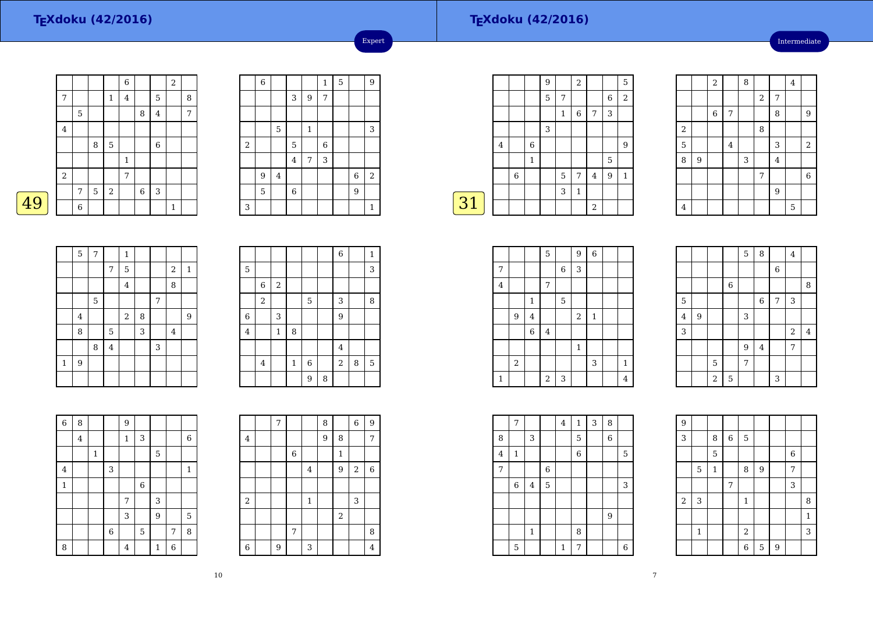49

#### **TEXdoku (42/2016)**

Intermediate

|   |         |   |   |             | $\overline{6}$ |             |                | $\overline{2}$ |   |
|---|---------|---|---|-------------|----------------|-------------|----------------|----------------|---|
|   | 7       |   |   | 1           | $\overline{4}$ |             | 5              |                | 8 |
|   |         | 5 |   |             |                | 8           | $\overline{4}$ |                | 7 |
|   | $\,4\,$ |   |   |             |                |             |                |                |   |
|   |         |   | 8 | $\mathbf 5$ |                |             | $\overline{6}$ |                |   |
|   |         |   |   |             | $\mathbf{1}$   |             |                |                |   |
|   | $\,2$   |   |   |             | 7              |             |                |                |   |
|   |         | 7 | 5 | $\,2$       |                | $\,$ 6 $\,$ | $\,$ 3 $\,$    |                |   |
| 9 |         | 6 |   |             |                |             |                | 1              |   |

|                | $\,6$ |         |                         |              | $\mathbf 1$ | 5 |        | 9            |
|----------------|-------|---------|-------------------------|--------------|-------------|---|--------|--------------|
|                |       |         | 3                       | 9            | 7           |   |        |              |
|                |       |         |                         |              |             |   |        |              |
|                |       | 5       |                         | $\mathbf{1}$ |             |   |        | 3            |
| $\overline{c}$ |       |         | 5                       |              | 6           |   |        |              |
|                |       |         | $\overline{\mathbf{4}}$ | 7            | 3           |   |        |              |
|                | 9     | $\bf 4$ |                         |              |             |   | $\,$ 6 | $\sqrt{2}$   |
|                | 5     |         | 6                       |              |             |   | 9      |              |
| 3              |       |         |                         |              |             |   |        | $\mathbf{1}$ |

Expert

|    |   |   |             | 9 |              | $\sqrt{2}$     |                |             | 5              |
|----|---|---|-------------|---|--------------|----------------|----------------|-------------|----------------|
|    |   |   |             | 5 | 7            |                |                | 6           | $\overline{2}$ |
|    |   |   |             |   | $\mathbf{1}$ | 6              | 7              | 3           |                |
|    |   |   |             | 3 |              |                |                |             |                |
|    | 4 |   | 6           |   |              |                |                |             | 9              |
|    |   |   | $\mathbf 1$ |   |              |                |                | $\mathbf 5$ |                |
|    |   | 6 |             |   | 5            | $\overline{7}$ | $\overline{4}$ | 9           | $\mathbf{1}$   |
|    |   |   |             |   | 3            | $\mathbf{1}$   |                |             |                |
| 31 |   |   |             |   |              |                | $\overline{2}$ |             |                |
|    |   |   |             |   |              |                |                |             |                |

|                         |   | $\overline{2}$ |         | 8 |                |                | $\overline{4}$ |                |
|-------------------------|---|----------------|---------|---|----------------|----------------|----------------|----------------|
|                         |   |                |         |   | $\sqrt{2}$     | 7              |                |                |
|                         |   | $\,$ 6 $\,$    | 7       |   |                | 8              |                | 9              |
| $\overline{\mathbf{c}}$ |   |                |         |   | 8              |                |                |                |
| $\overline{5}$          |   |                | $\bf 4$ |   |                | 3              |                | $\overline{a}$ |
| 8                       | 9 |                |         | 3 |                | $\overline{4}$ |                |                |
|                         |   |                |         |   | $\overline{7}$ |                |                | $\overline{6}$ |
|                         |   |                |         |   |                | $\overline{9}$ |                |                |
| $\bf 4$                 |   |                |         |   |                |                | 5              |                |

|             | 5              | $\overline{7}$ |         | $\mathbf{1}$   |   |   |                         |              |
|-------------|----------------|----------------|---------|----------------|---|---|-------------------------|--------------|
|             |                |                | 7       | 5              |   |   | $\overline{\mathbf{c}}$ | $\mathbf{1}$ |
|             |                |                |         | $\overline{4}$ |   |   | 8                       |              |
|             |                | 5              |         |                |   | 7 |                         |              |
|             | $\overline{4}$ |                |         | $\,2$          | 8 |   |                         | 9            |
|             | 8              |                | 5       |                | 3 |   | 4                       |              |
|             |                | 8              | $\bf 4$ |                |   | 3 |                         |              |
| $\mathbf 1$ | 9              |                |         |                |   |   |                         |              |
|             |                |                |         |                |   |   |                         |              |

|   |         |             |         |                |   | $\overline{6}$ |   | $\mathbf{1}$ |
|---|---------|-------------|---------|----------------|---|----------------|---|--------------|
| 5 |         |             |         |                |   |                |   | 3            |
|   | 6       | $\,2$       |         |                |   |                |   |              |
|   | $\,2$   |             |         | 5              |   | 3              |   | 8            |
| 6 |         | 3           |         |                |   | 9              |   |              |
| 4 |         | $\mathbf 1$ | 8       |                |   |                |   |              |
|   |         |             |         |                |   | $\bf{4}$       |   |              |
|   | $\bf 4$ |             | $\,1\,$ | $\overline{6}$ |   | $\overline{2}$ | 8 | 5            |
|   |         |             |         | 9              | 8 |                |   |              |

| $\overline{6}$ | 8              |             |                | 9            |             |              |   |              |
|----------------|----------------|-------------|----------------|--------------|-------------|--------------|---|--------------|
|                | $\overline{4}$ |             |                | $\mathbf{1}$ | 3           |              |   | $\,$ 6 $\,$  |
|                |                | $\mathbf 1$ |                |              |             | 5            |   |              |
| $\bf 4$        |                |             | 3              |              |             |              |   | $\mathbf{1}$ |
| $\mathbf 1$    |                |             |                |              | $\,$ 6 $\,$ |              |   |              |
|                |                |             |                | 7            |             | 3            |   |              |
|                |                |             |                | 3            |             | 9            |   | 5            |
|                |                |             | $\overline{6}$ |              | 5           |              | 7 | 8            |
| 8              |                |             |                | 4            |             | $\mathbf{1}$ | 6 |              |

|                | $\overline{7}$ |                |                | 8 |             | 6     | 9              |
|----------------|----------------|----------------|----------------|---|-------------|-------|----------------|
| 4              |                |                |                | 9 | 8           |       | 7              |
|                |                | $\overline{6}$ |                |   | $\mathbf 1$ |       |                |
|                |                |                | $\overline{4}$ |   | 9           | $\,2$ | 6              |
|                |                |                |                |   |             |       |                |
| $\,2$          |                |                | $\mathbf{1}$   |   |             | 3     |                |
|                |                |                |                |   | $\,2$       |       |                |
|                |                | 7              |                |   |             |       | 8              |
| $\overline{6}$ | 9              |                | 3              |   |             |       | $\overline{4}$ |

|                         |                  |             | 5              |   | 9            | $\,$ 6 $\,$  |                |  |
|-------------------------|------------------|-------------|----------------|---|--------------|--------------|----------------|--|
| 7                       |                  |             |                | 6 | 3            |              |                |  |
| $\overline{\mathbf{4}}$ |                  |             | 7              |   |              |              |                |  |
|                         |                  | $\mathbf 1$ |                | 5 |              |              |                |  |
|                         | $\boldsymbol{9}$ | $\bf 4$     |                |   | $\,2$        | $\mathbf{1}$ |                |  |
|                         |                  | $\,$ 6 $\,$ | $\bf 4$        |   |              |              |                |  |
|                         |                  |             |                |   | $\mathbf{1}$ |              |                |  |
|                         | $\,2$            |             |                |   |              | 3            | $\mathbf{1}$   |  |
| $\mathbf 1$             |                  |             | $\overline{c}$ | 3 |              |              | $\overline{4}$ |  |

|                         |   |                |             | 5 | 8           |             | $\bf 4$                 |         |
|-------------------------|---|----------------|-------------|---|-------------|-------------|-------------------------|---------|
|                         |   |                |             |   |             | $\,$ 6 $\,$ |                         |         |
|                         |   |                | $\,$ 6 $\,$ |   |             |             |                         | 8       |
| 5                       |   |                |             |   | $\,$ 6 $\,$ | 7           | $\sqrt{3}$              |         |
| $\overline{\mathbf{4}}$ | 9 |                |             | 3 |             |             |                         |         |
| $\overline{3}$          |   |                |             |   |             |             | $\overline{\mathbf{c}}$ | $\bf 4$ |
|                         |   |                |             | 9 | $\bf 4$     |             | 7                       |         |
|                         |   | 5              |             | 7 |             |             |                         |         |
|                         |   | $\overline{a}$ | 5           |   |             | 3           |                         |         |

|         | 7                |                |                | 4            | $\mathbf{1}$ | 3 | 8           |   |
|---------|------------------|----------------|----------------|--------------|--------------|---|-------------|---|
| 8       |                  | 3              |                |              | 5            |   | $\,$ 6 $\,$ |   |
| $\bf 4$ | $\mathbf 1$      |                |                |              | $\,$ 6 $\,$  |   |             | 5 |
| 7       |                  |                | $\overline{6}$ |              |              |   |             |   |
|         | $\boldsymbol{6}$ | $\overline{4}$ | 5              |              |              |   |             | 3 |
|         |                  |                |                |              |              |   |             |   |
|         |                  |                |                |              |              |   | 9           |   |
|         |                  | $\mathbf{1}$   |                |              | 8            |   |             |   |
|         | 5                |                |                | $\mathbf{1}$ | 7            |   |             | 6 |

| 9                |             |              |                |             |   |   |             |         |  |
|------------------|-------------|--------------|----------------|-------------|---|---|-------------|---------|--|
| 3                |             | 8            | $\overline{6}$ | $\mathbf 5$ |   |   |             |         |  |
|                  |             | 5            |                |             |   |   | $\,$ 6 $\,$ |         |  |
|                  | $\mathbf 5$ | $\mathbf{1}$ |                | 8           | 9 |   | 7           |         |  |
|                  |             |              | 7              |             |   |   | 3           |         |  |
| $\boldsymbol{2}$ | 3           |              |                | $\mathbf 1$ |   |   |             | 8       |  |
|                  |             |              |                |             |   |   |             | $\,1\,$ |  |
|                  | $\mathbf 1$ |              |                | $\sqrt{2}$  |   |   |             | 3       |  |
|                  |             |              |                | 6           | 5 | 9 |             |         |  |